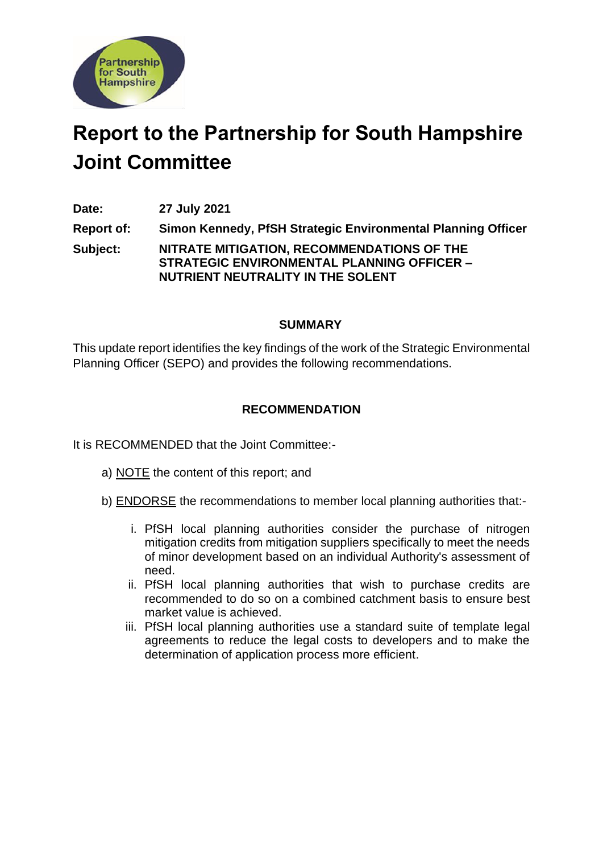

# **Report to the Partnership for South Hampshire Joint Committee**

**Date: 27 July 2021**

**Report of: Simon Kennedy, PfSH Strategic Environmental Planning Officer Subject: NITRATE MITIGATION, RECOMMENDATIONS OF THE STRATEGIC ENVIRONMENTAL PLANNING OFFICER – NUTRIENT NEUTRALITY IN THE SOLENT**

### **SUMMARY**

This update report identifies the key findings of the work of the Strategic Environmental Planning Officer (SEPO) and provides the following recommendations.

# **RECOMMENDATION**

It is RECOMMENDED that the Joint Committee:-

- a) NOTE the content of this report; and
- b) ENDORSE the recommendations to member local planning authorities that:
	- i. PfSH local planning authorities consider the purchase of nitrogen mitigation credits from mitigation suppliers specifically to meet the needs of minor development based on an individual Authority's assessment of need.
	- ii. PfSH local planning authorities that wish to purchase credits are recommended to do so on a combined catchment basis to ensure best market value is achieved.
	- iii. PfSH local planning authorities use a standard suite of template legal agreements to reduce the legal costs to developers and to make the determination of application process more efficient.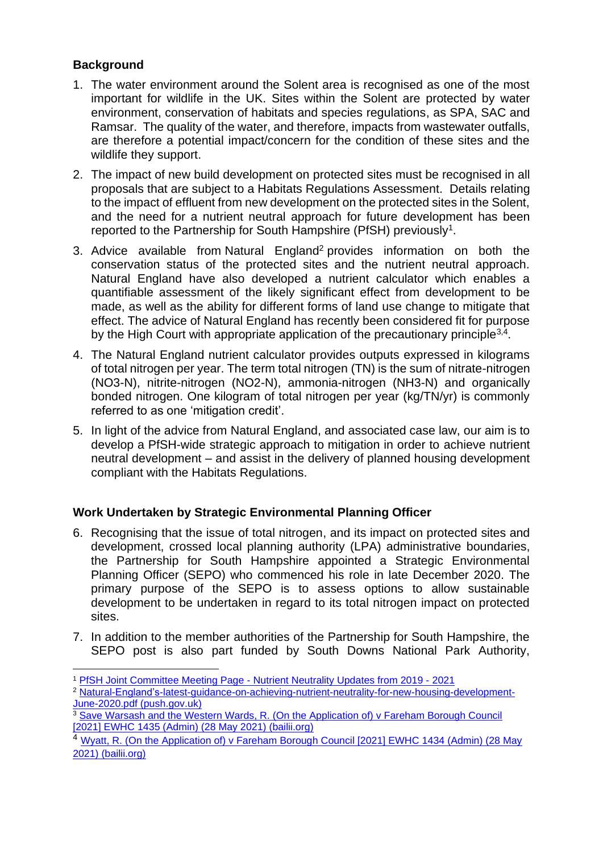# **Background**

- 1. The water environment around the Solent area is recognised as one of the most important for wildlife in the UK. Sites within the Solent are protected by water environment, conservation of habitats and species regulations, as SPA, SAC and Ramsar. The quality of the water, and therefore, impacts from wastewater outfalls, are therefore a potential impact/concern for the condition of these sites and the wildlife they support.
- 2. The impact of new build development on protected sites must be recognised in all proposals that are subject to a Habitats Regulations Assessment. Details relating to the impact of effluent from new development on the protected sites in the Solent, and the need for a nutrient neutral approach for future development has been reported to the Partnership for South Hampshire (PfSH) previously<sup>1</sup>.
- 3. Advice available from [Natural England](https://www.push.gov.uk/wp-content/uploads/2020/06/Natural-England%E2%80%99s-latest-guidance-on-achieving-nutrient-neutrality-for-new-housing-development-June-2020.pdf)<sup>2</sup> provides information on both the conservation status of the protected sites and the nutrient neutral approach. Natural England have also developed a nutrient calculator which enables a quantifiable assessment of the likely significant effect from development to be made, as well as the ability for different forms of land use change to mitigate that effect. The advice of Natural England has recently been considered fit for purpose by the High Court with appropriate application of the precautionary principle<sup>3,4</sup>.
- 4. The Natural England nutrient calculator provides outputs expressed in kilograms of total nitrogen per year. The term total nitrogen (TN) is the sum of nitrate-nitrogen (NO3-N), nitrite-nitrogen (NO2-N), ammonia-nitrogen (NH3-N) and organically bonded nitrogen. One kilogram of total nitrogen per year (kg/TN/yr) is commonly referred to as one 'mitigation credit'.
- 5. In light of the advice from Natural England, and associated case law, our aim is to develop a PfSH-wide strategic approach to mitigation in order to achieve nutrient neutral development – and assist in the delivery of planned housing development compliant with the Habitats Regulations.

# **Work Undertaken by Strategic Environmental Planning Officer**

- 6. Recognising that the issue of total nitrogen, and its impact on protected sites and development, crossed local planning authority (LPA) administrative boundaries, the Partnership for South Hampshire appointed a Strategic Environmental Planning Officer (SEPO) who commenced his role in late December 2020. The primary purpose of the SEPO is to assess options to allow sustainable development to be undertaken in regard to its total nitrogen impact on protected sites.
- 7. In addition to the member authorities of the Partnership for South Hampshire, the SEPO post is also part funded by South Downs National Park Authority,

<sup>1</sup> PfSH Joint Committee Meeting Page - [Nutrient Neutrality Updates from 2019 -](https://www.push.gov.uk/work/our-meetings/joint-committee/) 2021

<sup>&</sup>lt;sup>2</sup> [Natural-England's-latest-guidance-on-achieving-nutrient-neutrality-for-new-housing-development-](https://www.push.gov.uk/wp-content/uploads/2020/06/Natural-England%E2%80%99s-latest-guidance-on-achieving-nutrient-neutrality-for-new-housing-development-June-2020.pdf)[June-2020.pdf \(push.gov.uk\)](https://www.push.gov.uk/wp-content/uploads/2020/06/Natural-England%E2%80%99s-latest-guidance-on-achieving-nutrient-neutrality-for-new-housing-development-June-2020.pdf)

<sup>&</sup>lt;sup>3</sup> Save Warsash and the Western Wards, R. (On the Application of) v Fareham Borough Council [\[2021\] EWHC 1435 \(Admin\) \(28 May 2021\) \(bailii.org\)](https://www.bailii.org/ew/cases/EWHC/Admin/2021/1435.html)

<sup>4</sup> [Wyatt, R. \(On the Application of\) v Fareham Borough Council \[2021\] EWHC 1434 \(Admin\) \(28 May](https://www.bailii.org/ew/cases/EWHC/Admin/2021/1434.html)  [2021\) \(bailii.org\)](https://www.bailii.org/ew/cases/EWHC/Admin/2021/1434.html)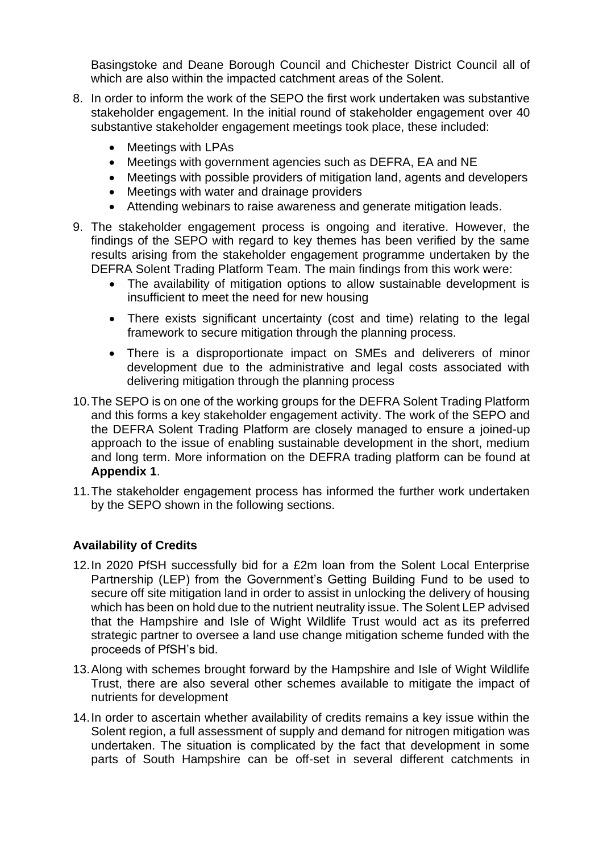Basingstoke and Deane Borough Council and Chichester District Council all of which are also within the impacted catchment areas of the Solent.

- 8. In order to inform the work of the SEPO the first work undertaken was substantive stakeholder engagement. In the initial round of stakeholder engagement over 40 substantive stakeholder engagement meetings took place, these included:
	- Meetings with LPAs
	- Meetings with government agencies such as DEFRA, EA and NE
	- Meetings with possible providers of mitigation land, agents and developers
	- Meetings with water and drainage providers
	- Attending webinars to raise awareness and generate mitigation leads.
- 9. The stakeholder engagement process is ongoing and iterative. However, the findings of the SEPO with regard to key themes has been verified by the same results arising from the stakeholder engagement programme undertaken by the DEFRA Solent Trading Platform Team. The main findings from this work were:
	- The availability of mitigation options to allow sustainable development is insufficient to meet the need for new housing
	- There exists significant uncertainty (cost and time) relating to the legal framework to secure mitigation through the planning process.
	- There is a disproportionate impact on SMEs and deliverers of minor development due to the administrative and legal costs associated with delivering mitigation through the planning process
- 10.The SEPO is on one of the working groups for the DEFRA Solent Trading Platform and this forms a key stakeholder engagement activity. The work of the SEPO and the DEFRA Solent Trading Platform are closely managed to ensure a joined-up approach to the issue of enabling sustainable development in the short, medium and long term. More information on the DEFRA trading platform can be found at **Appendix 1**.
- 11.The stakeholder engagement process has informed the further work undertaken by the SEPO shown in the following sections.

# **Availability of Credits**

- 12.In 2020 PfSH successfully bid for a £2m loan from the Solent Local Enterprise Partnership (LEP) from the Government's Getting Building Fund to be used to secure off site mitigation land in order to assist in unlocking the delivery of housing which has been on hold due to the nutrient neutrality issue. The Solent LEP advised that the Hampshire and Isle of Wight Wildlife Trust would act as its preferred strategic partner to oversee a land use change mitigation scheme funded with the proceeds of PfSH's bid.
- 13.Along with schemes brought forward by the Hampshire and Isle of Wight Wildlife Trust, there are also several other schemes available to mitigate the impact of nutrients for development
- 14.In order to ascertain whether availability of credits remains a key issue within the Solent region, a full assessment of supply and demand for nitrogen mitigation was undertaken. The situation is complicated by the fact that development in some parts of South Hampshire can be off-set in several different catchments in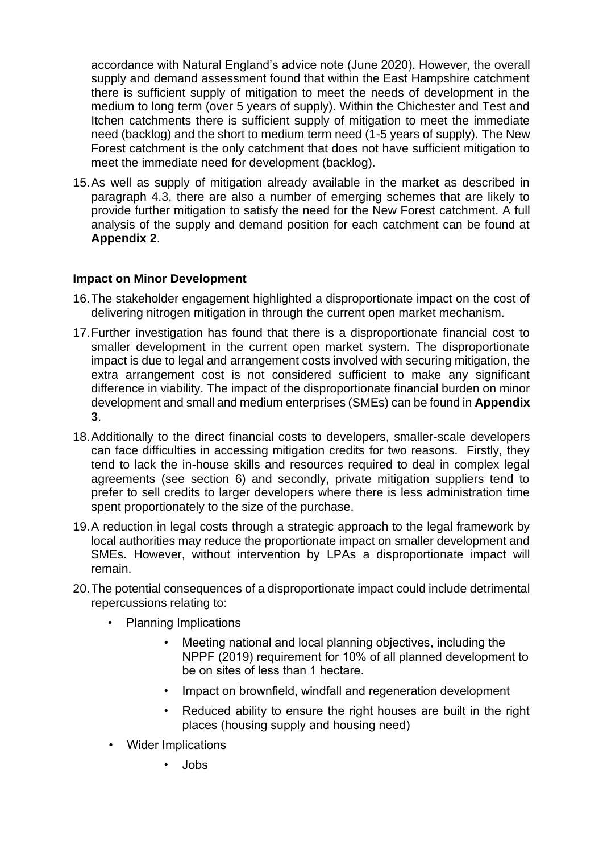accordance with Natural England's advice note (June 2020). However, the overall supply and demand assessment found that within the East Hampshire catchment there is sufficient supply of mitigation to meet the needs of development in the medium to long term (over 5 years of supply). Within the Chichester and Test and Itchen catchments there is sufficient supply of mitigation to meet the immediate need (backlog) and the short to medium term need (1-5 years of supply). The New Forest catchment is the only catchment that does not have sufficient mitigation to meet the immediate need for development (backlog).

15.As well as supply of mitigation already available in the market as described in paragraph 4.3, there are also a number of emerging schemes that are likely to provide further mitigation to satisfy the need for the New Forest catchment. A full analysis of the supply and demand position for each catchment can be found at **Appendix 2**.

### **Impact on Minor Development**

- 16.The stakeholder engagement highlighted a disproportionate impact on the cost of delivering nitrogen mitigation in through the current open market mechanism.
- 17.Further investigation has found that there is a disproportionate financial cost to smaller development in the current open market system. The disproportionate impact is due to legal and arrangement costs involved with securing mitigation, the extra arrangement cost is not considered sufficient to make any significant difference in viability. The impact of the disproportionate financial burden on minor development and small and medium enterprises (SMEs) can be found in **Appendix 3**.
- 18.Additionally to the direct financial costs to developers, smaller-scale developers can face difficulties in accessing mitigation credits for two reasons. Firstly, they tend to lack the in-house skills and resources required to deal in complex legal agreements (see section 6) and secondly, private mitigation suppliers tend to prefer to sell credits to larger developers where there is less administration time spent proportionately to the size of the purchase.
- 19.A reduction in legal costs through a strategic approach to the legal framework by local authorities may reduce the proportionate impact on smaller development and SMEs. However, without intervention by LPAs a disproportionate impact will remain.
- 20.The potential consequences of a disproportionate impact could include detrimental repercussions relating to:
	- Planning Implications
		- Meeting national and local planning objectives, including the NPPF (2019) requirement for 10% of all planned development to be on sites of less than 1 hectare.
		- Impact on brownfield, windfall and regeneration development
		- Reduced ability to ensure the right houses are built in the right places (housing supply and housing need)
	- Wider Implications
		- Jobs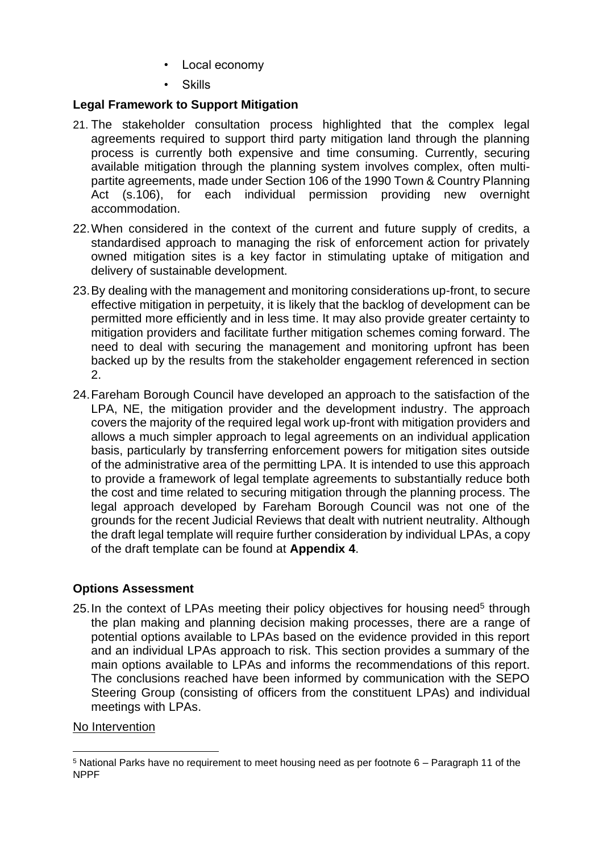- Local economy
- **Skills**

# **Legal Framework to Support Mitigation**

- 21. The stakeholder consultation process highlighted that the complex legal agreements required to support third party mitigation land through the planning process is currently both expensive and time consuming. Currently, securing available mitigation through the planning system involves complex, often multipartite agreements, made under Section 106 of the 1990 Town & Country Planning Act (s.106), for each individual permission providing new overnight accommodation.
- 22.When considered in the context of the current and future supply of credits, a standardised approach to managing the risk of enforcement action for privately owned mitigation sites is a key factor in stimulating uptake of mitigation and delivery of sustainable development.
- 23.By dealing with the management and monitoring considerations up-front, to secure effective mitigation in perpetuity, it is likely that the backlog of development can be permitted more efficiently and in less time. It may also provide greater certainty to mitigation providers and facilitate further mitigation schemes coming forward. The need to deal with securing the management and monitoring upfront has been backed up by the results from the stakeholder engagement referenced in section 2.
- 24.Fareham Borough Council have developed an approach to the satisfaction of the LPA, NE, the mitigation provider and the development industry. The approach covers the majority of the required legal work up-front with mitigation providers and allows a much simpler approach to legal agreements on an individual application basis, particularly by transferring enforcement powers for mitigation sites outside of the administrative area of the permitting LPA. It is intended to use this approach to provide a framework of legal template agreements to substantially reduce both the cost and time related to securing mitigation through the planning process. The legal approach developed by Fareham Borough Council was not one of the grounds for the recent Judicial Reviews that dealt with nutrient neutrality. Although the draft legal template will require further consideration by individual LPAs, a copy of the draft template can be found at **Appendix 4**.

# **Options Assessment**

25. In the context of LPAs meeting their policy objectives for housing need<sup>5</sup> through the plan making and planning decision making processes, there are a range of potential options available to LPAs based on the evidence provided in this report and an individual LPAs approach to risk. This section provides a summary of the main options available to LPAs and informs the recommendations of this report. The conclusions reached have been informed by communication with the SEPO Steering Group (consisting of officers from the constituent LPAs) and individual meetings with LPAs.

# No Intervention

<sup>5</sup> National Parks have no requirement to meet housing need as per footnote 6 – Paragraph 11 of the NPPF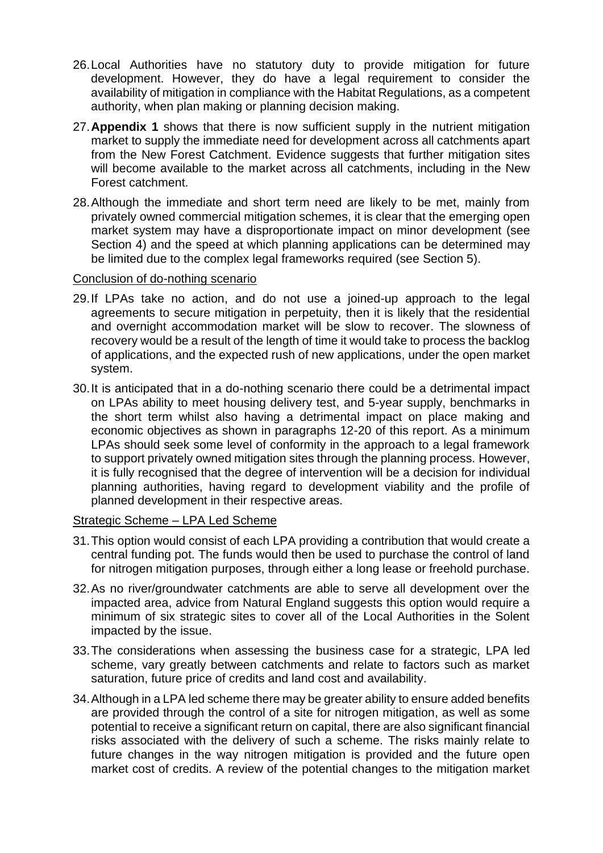- 26.Local Authorities have no statutory duty to provide mitigation for future development. However, they do have a legal requirement to consider the availability of mitigation in compliance with the Habitat Regulations, as a competent authority, when plan making or planning decision making.
- 27.**Appendix 1** shows that there is now sufficient supply in the nutrient mitigation market to supply the immediate need for development across all catchments apart from the New Forest Catchment. Evidence suggests that further mitigation sites will become available to the market across all catchments, including in the New Forest catchment.
- 28.Although the immediate and short term need are likely to be met, mainly from privately owned commercial mitigation schemes, it is clear that the emerging open market system may have a disproportionate impact on minor development (see Section 4) and the speed at which planning applications can be determined may be limited due to the complex legal frameworks required (see Section 5).

### Conclusion of do-nothing scenario

- 29.If LPAs take no action, and do not use a joined-up approach to the legal agreements to secure mitigation in perpetuity, then it is likely that the residential and overnight accommodation market will be slow to recover. The slowness of recovery would be a result of the length of time it would take to process the backlog of applications, and the expected rush of new applications, under the open market system.
- 30.It is anticipated that in a do-nothing scenario there could be a detrimental impact on LPAs ability to meet housing delivery test, and 5-year supply, benchmarks in the short term whilst also having a detrimental impact on place making and economic objectives as shown in paragraphs 12-20 of this report. As a minimum LPAs should seek some level of conformity in the approach to a legal framework to support privately owned mitigation sites through the planning process. However, it is fully recognised that the degree of intervention will be a decision for individual planning authorities, having regard to development viability and the profile of planned development in their respective areas.

### Strategic Scheme – LPA Led Scheme

- 31.This option would consist of each LPA providing a contribution that would create a central funding pot. The funds would then be used to purchase the control of land for nitrogen mitigation purposes, through either a long lease or freehold purchase.
- 32.As no river/groundwater catchments are able to serve all development over the impacted area, advice from Natural England suggests this option would require a minimum of six strategic sites to cover all of the Local Authorities in the Solent impacted by the issue.
- 33.The considerations when assessing the business case for a strategic, LPA led scheme, vary greatly between catchments and relate to factors such as market saturation, future price of credits and land cost and availability.
- 34.Although in a LPA led scheme there may be greater ability to ensure added benefits are provided through the control of a site for nitrogen mitigation, as well as some potential to receive a significant return on capital, there are also significant financial risks associated with the delivery of such a scheme. The risks mainly relate to future changes in the way nitrogen mitigation is provided and the future open market cost of credits. A review of the potential changes to the mitigation market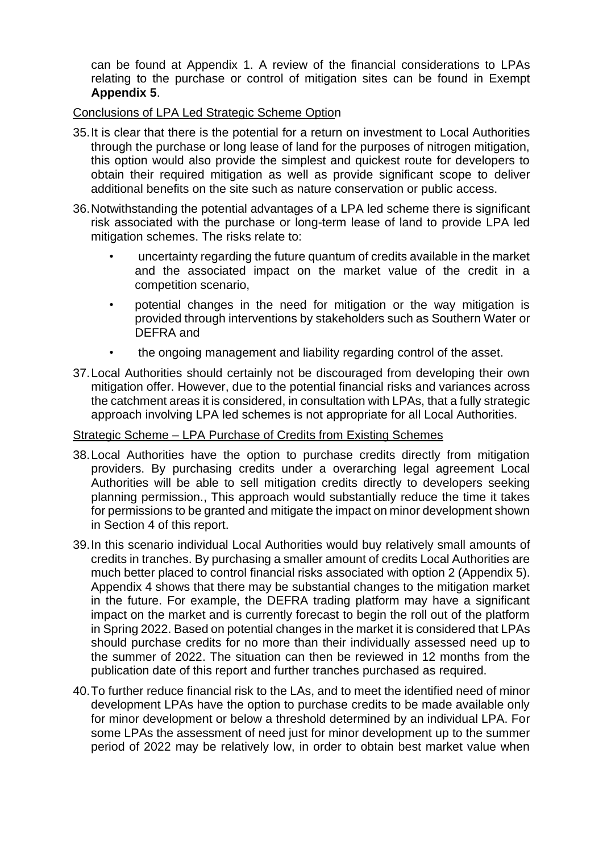can be found at Appendix 1. A review of the financial considerations to LPAs relating to the purchase or control of mitigation sites can be found in Exempt **Appendix 5**.

### Conclusions of LPA Led Strategic Scheme Option

- 35.It is clear that there is the potential for a return on investment to Local Authorities through the purchase or long lease of land for the purposes of nitrogen mitigation, this option would also provide the simplest and quickest route for developers to obtain their required mitigation as well as provide significant scope to deliver additional benefits on the site such as nature conservation or public access.
- 36.Notwithstanding the potential advantages of a LPA led scheme there is significant risk associated with the purchase or long-term lease of land to provide LPA led mitigation schemes. The risks relate to:
	- uncertainty regarding the future quantum of credits available in the market and the associated impact on the market value of the credit in a competition scenario,
	- potential changes in the need for mitigation or the way mitigation is provided through interventions by stakeholders such as Southern Water or DEFRA and
	- the ongoing management and liability regarding control of the asset.
- 37.Local Authorities should certainly not be discouraged from developing their own mitigation offer. However, due to the potential financial risks and variances across the catchment areas it is considered, in consultation with LPAs, that a fully strategic approach involving LPA led schemes is not appropriate for all Local Authorities.

### Strategic Scheme – LPA Purchase of Credits from Existing Schemes

- 38.Local Authorities have the option to purchase credits directly from mitigation providers. By purchasing credits under a overarching legal agreement Local Authorities will be able to sell mitigation credits directly to developers seeking planning permission., This approach would substantially reduce the time it takes for permissions to be granted and mitigate the impact on minor development shown in Section 4 of this report.
- 39.In this scenario individual Local Authorities would buy relatively small amounts of credits in tranches. By purchasing a smaller amount of credits Local Authorities are much better placed to control financial risks associated with option 2 (Appendix 5). Appendix 4 shows that there may be substantial changes to the mitigation market in the future. For example, the DEFRA trading platform may have a significant impact on the market and is currently forecast to begin the roll out of the platform in Spring 2022. Based on potential changes in the market it is considered that LPAs should purchase credits for no more than their individually assessed need up to the summer of 2022. The situation can then be reviewed in 12 months from the publication date of this report and further tranches purchased as required.
- 40.To further reduce financial risk to the LAs, and to meet the identified need of minor development LPAs have the option to purchase credits to be made available only for minor development or below a threshold determined by an individual LPA. For some LPAs the assessment of need just for minor development up to the summer period of 2022 may be relatively low, in order to obtain best market value when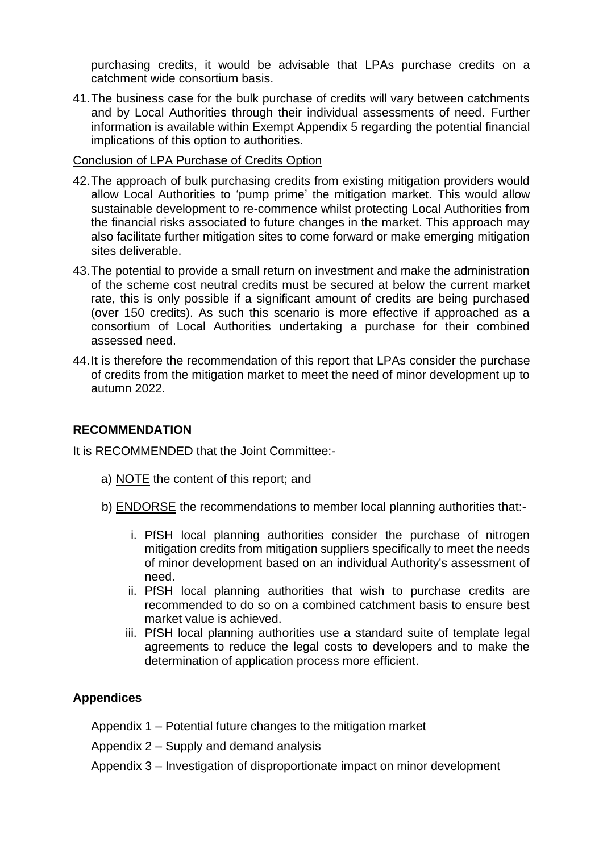purchasing credits, it would be advisable that LPAs purchase credits on a catchment wide consortium basis.

41.The business case for the bulk purchase of credits will vary between catchments and by Local Authorities through their individual assessments of need. Further information is available within Exempt Appendix 5 regarding the potential financial implications of this option to authorities.

### Conclusion of LPA Purchase of Credits Option

- 42.The approach of bulk purchasing credits from existing mitigation providers would allow Local Authorities to 'pump prime' the mitigation market. This would allow sustainable development to re-commence whilst protecting Local Authorities from the financial risks associated to future changes in the market. This approach may also facilitate further mitigation sites to come forward or make emerging mitigation sites deliverable.
- 43.The potential to provide a small return on investment and make the administration of the scheme cost neutral credits must be secured at below the current market rate, this is only possible if a significant amount of credits are being purchased (over 150 credits). As such this scenario is more effective if approached as a consortium of Local Authorities undertaking a purchase for their combined assessed need.
- 44.It is therefore the recommendation of this report that LPAs consider the purchase of credits from the mitigation market to meet the need of minor development up to autumn 2022.

### **RECOMMENDATION**

It is RECOMMENDED that the Joint Committee:-

- a) NOTE the content of this report; and
- b) ENDORSE the recommendations to member local planning authorities that:
	- i. PfSH local planning authorities consider the purchase of nitrogen mitigation credits from mitigation suppliers specifically to meet the needs of minor development based on an individual Authority's assessment of need.
	- ii. PfSH local planning authorities that wish to purchase credits are recommended to do so on a combined catchment basis to ensure best market value is achieved.
	- iii. PfSH local planning authorities use a standard suite of template legal agreements to reduce the legal costs to developers and to make the determination of application process more efficient.

### **Appendices**

Appendix 1 – Potential future changes to the mitigation market

Appendix 2 – Supply and demand analysis

Appendix 3 – Investigation of disproportionate impact on minor development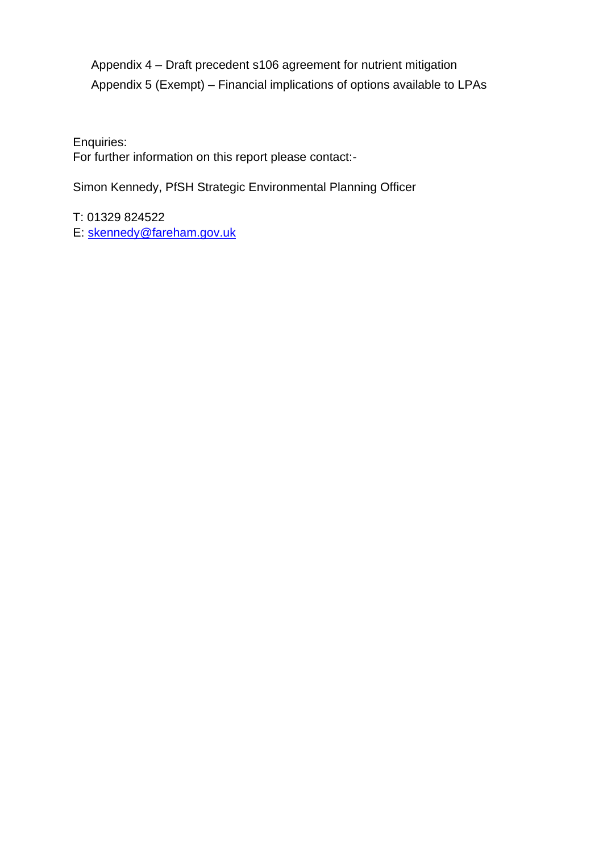Appendix 4 – Draft precedent s106 agreement for nutrient mitigation Appendix 5 (Exempt) – Financial implications of options available to LPAs

Enquiries:

For further information on this report please contact:-

Simon Kennedy, PfSH Strategic Environmental Planning Officer

T: 01329 824522 E: [skennedy@fareham.gov.uk](mailto:skennedy@fareham.gov.uk)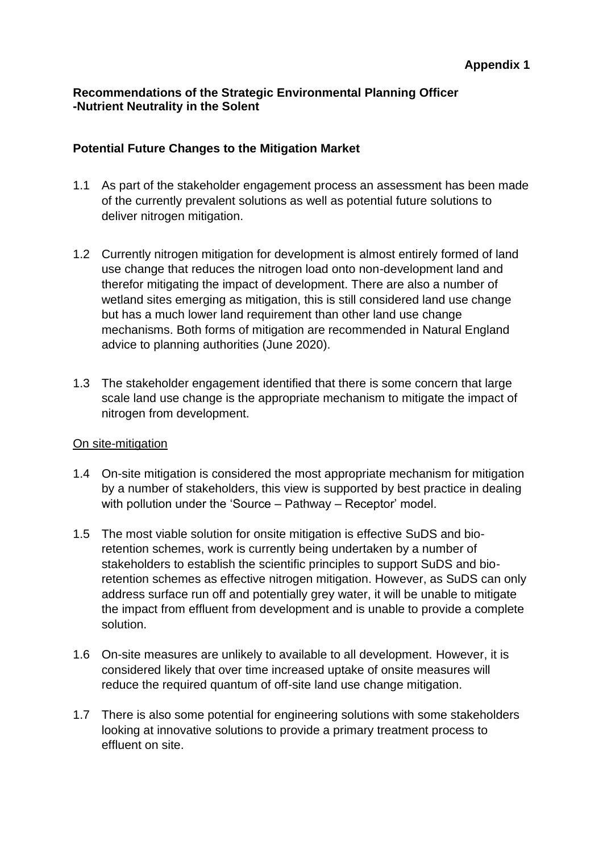# **Recommendations of the Strategic Environmental Planning Officer -Nutrient Neutrality in the Solent**

### **Potential Future Changes to the Mitigation Market**

- 1.1 As part of the stakeholder engagement process an assessment has been made of the currently prevalent solutions as well as potential future solutions to deliver nitrogen mitigation.
- 1.2 Currently nitrogen mitigation for development is almost entirely formed of land use change that reduces the nitrogen load onto non-development land and therefor mitigating the impact of development. There are also a number of wetland sites emerging as mitigation, this is still considered land use change but has a much lower land requirement than other land use change mechanisms. Both forms of mitigation are recommended in Natural England advice to planning authorities (June 2020).
- 1.3 The stakeholder engagement identified that there is some concern that large scale land use change is the appropriate mechanism to mitigate the impact of nitrogen from development.

# On site-mitigation

- 1.4 On-site mitigation is considered the most appropriate mechanism for mitigation by a number of stakeholders, this view is supported by best practice in dealing with pollution under the 'Source – Pathway – Receptor' model.
- 1.5 The most viable solution for onsite mitigation is effective SuDS and bioretention schemes, work is currently being undertaken by a number of stakeholders to establish the scientific principles to support SuDS and bioretention schemes as effective nitrogen mitigation. However, as SuDS can only address surface run off and potentially grey water, it will be unable to mitigate the impact from effluent from development and is unable to provide a complete solution.
- 1.6 On-site measures are unlikely to available to all development. However, it is considered likely that over time increased uptake of onsite measures will reduce the required quantum of off-site land use change mitigation.
- 1.7 There is also some potential for engineering solutions with some stakeholders looking at innovative solutions to provide a primary treatment process to effluent on site.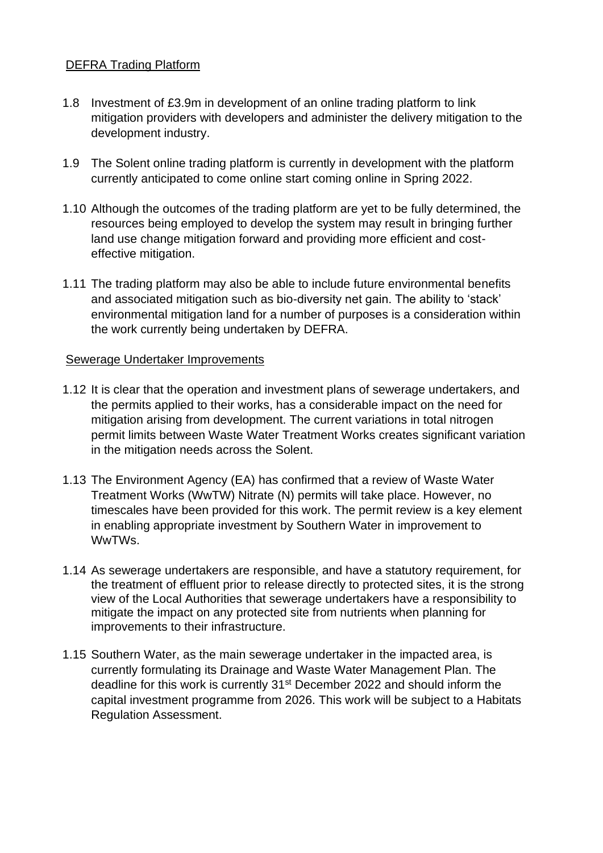### DEFRA Trading Platform

- 1.8 Investment of £3.9m in development of an online trading platform to link mitigation providers with developers and administer the delivery mitigation to the development industry.
- 1.9 The Solent online trading platform is currently in development with the platform currently anticipated to come online start coming online in Spring 2022.
- 1.10 Although the outcomes of the trading platform are yet to be fully determined, the resources being employed to develop the system may result in bringing further land use change mitigation forward and providing more efficient and costeffective mitigation.
- 1.11 The trading platform may also be able to include future environmental benefits and associated mitigation such as bio-diversity net gain. The ability to 'stack' environmental mitigation land for a number of purposes is a consideration within the work currently being undertaken by DEFRA.

### Sewerage Undertaker Improvements

- 1.12 It is clear that the operation and investment plans of sewerage undertakers, and the permits applied to their works, has a considerable impact on the need for mitigation arising from development. The current variations in total nitrogen permit limits between Waste Water Treatment Works creates significant variation in the mitigation needs across the Solent.
- 1.13 The Environment Agency (EA) has confirmed that a review of Waste Water Treatment Works (WwTW) Nitrate (N) permits will take place. However, no timescales have been provided for this work. The permit review is a key element in enabling appropriate investment by Southern Water in improvement to WwTWs.
- 1.14 As sewerage undertakers are responsible, and have a statutory requirement, for the treatment of effluent prior to release directly to protected sites, it is the strong view of the Local Authorities that sewerage undertakers have a responsibility to mitigate the impact on any protected site from nutrients when planning for improvements to their infrastructure.
- 1.15 Southern Water, as the main sewerage undertaker in the impacted area, is currently formulating its Drainage and Waste Water Management Plan. The deadline for this work is currently 31<sup>st</sup> December 2022 and should inform the capital investment programme from 2026. This work will be subject to a Habitats Regulation Assessment.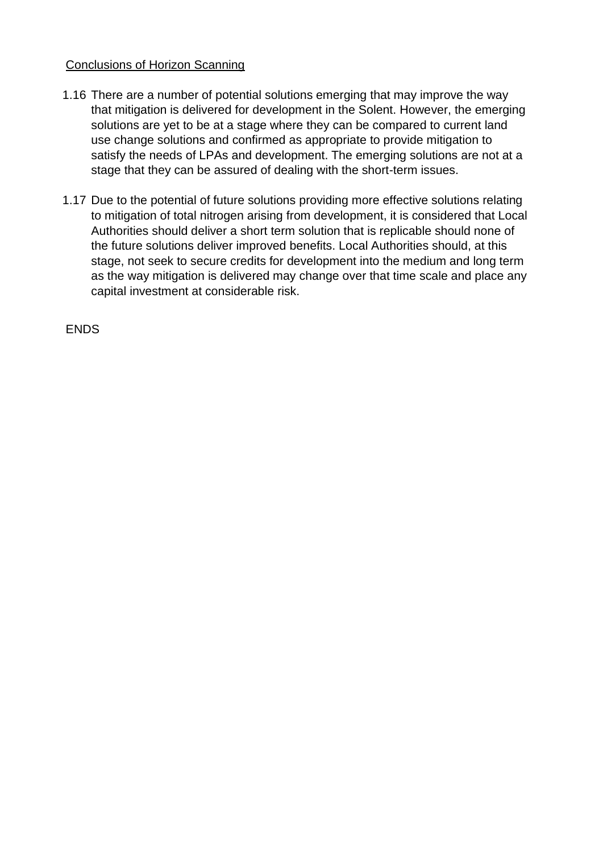### Conclusions of Horizon Scanning

- 1.16 There are a number of potential solutions emerging that may improve the way that mitigation is delivered for development in the Solent. However, the emerging solutions are yet to be at a stage where they can be compared to current land use change solutions and confirmed as appropriate to provide mitigation to satisfy the needs of LPAs and development. The emerging solutions are not at a stage that they can be assured of dealing with the short-term issues.
- 1.17 Due to the potential of future solutions providing more effective solutions relating to mitigation of total nitrogen arising from development, it is considered that Local Authorities should deliver a short term solution that is replicable should none of the future solutions deliver improved benefits. Local Authorities should, at this stage, not seek to secure credits for development into the medium and long term as the way mitigation is delivered may change over that time scale and place any capital investment at considerable risk.

ENDS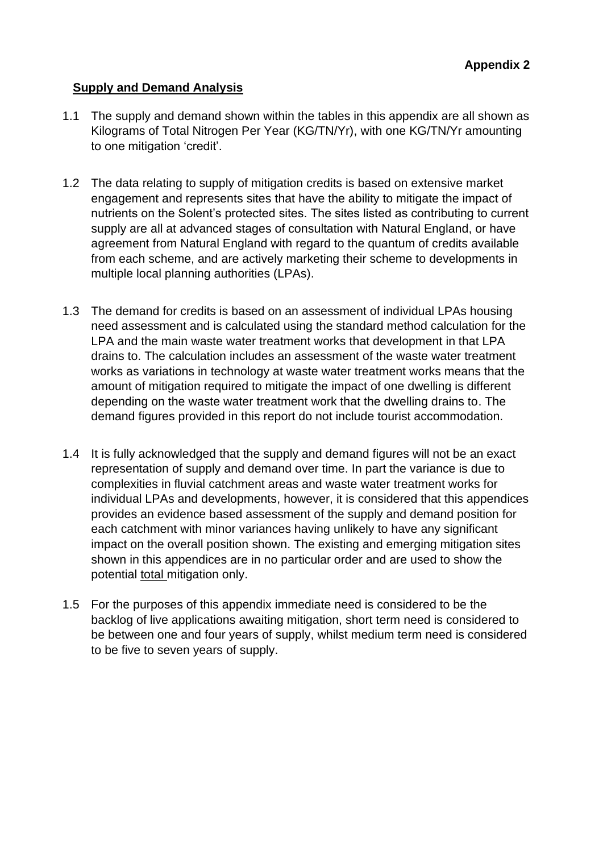# **Supply and Demand Analysis**

- 1.1 The supply and demand shown within the tables in this appendix are all shown as Kilograms of Total Nitrogen Per Year (KG/TN/Yr), with one KG/TN/Yr amounting to one mitigation 'credit'.
- 1.2 The data relating to supply of mitigation credits is based on extensive market engagement and represents sites that have the ability to mitigate the impact of nutrients on the Solent's protected sites. The sites listed as contributing to current supply are all at advanced stages of consultation with Natural England, or have agreement from Natural England with regard to the quantum of credits available from each scheme, and are actively marketing their scheme to developments in multiple local planning authorities (LPAs).
- 1.3 The demand for credits is based on an assessment of individual LPAs housing need assessment and is calculated using the standard method calculation for the LPA and the main waste water treatment works that development in that LPA drains to. The calculation includes an assessment of the waste water treatment works as variations in technology at waste water treatment works means that the amount of mitigation required to mitigate the impact of one dwelling is different depending on the waste water treatment work that the dwelling drains to. The demand figures provided in this report do not include tourist accommodation.
- 1.4 It is fully acknowledged that the supply and demand figures will not be an exact representation of supply and demand over time. In part the variance is due to complexities in fluvial catchment areas and waste water treatment works for individual LPAs and developments, however, it is considered that this appendices provides an evidence based assessment of the supply and demand position for each catchment with minor variances having unlikely to have any significant impact on the overall position shown. The existing and emerging mitigation sites shown in this appendices are in no particular order and are used to show the potential total mitigation only.
- 1.5 For the purposes of this appendix immediate need is considered to be the backlog of live applications awaiting mitigation, short term need is considered to be between one and four years of supply, whilst medium term need is considered to be five to seven years of supply.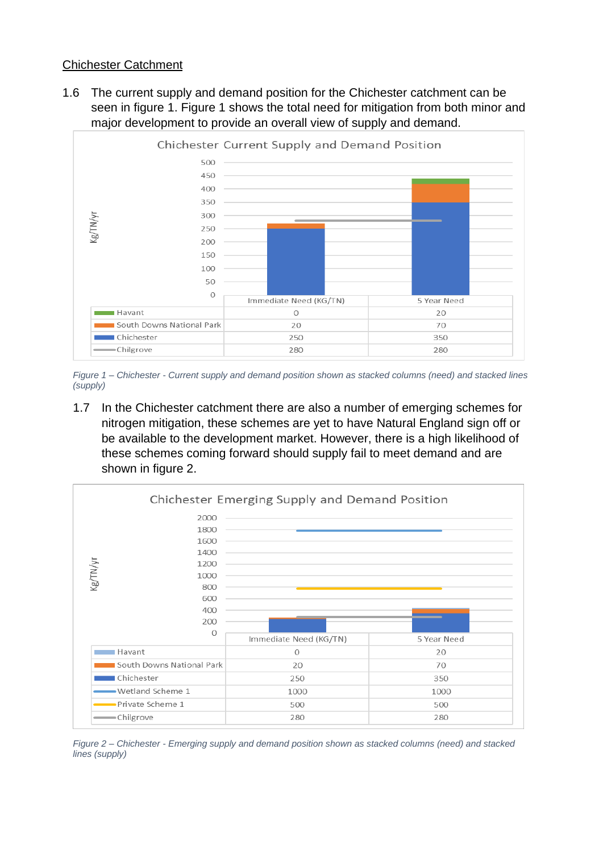### Chichester Catchment

1.6 The current supply and demand position for the Chichester catchment can be seen in figure 1. Figure 1 shows the total need for mitigation from both minor and major development to provide an overall view of supply and demand.



*Figure 1 – Chichester - Current supply and demand position shown as stacked columns (need) and stacked lines (supply)*

1.7 In the Chichester catchment there are also a number of emerging schemes for nitrogen mitigation, these schemes are yet to have Natural England sign off or be available to the development market. However, there is a high likelihood of these schemes coming forward should supply fail to meet demand and are shown in figure 2.



*Figure 2 – Chichester - Emerging supply and demand position shown as stacked columns (need) and stacked lines (supply)*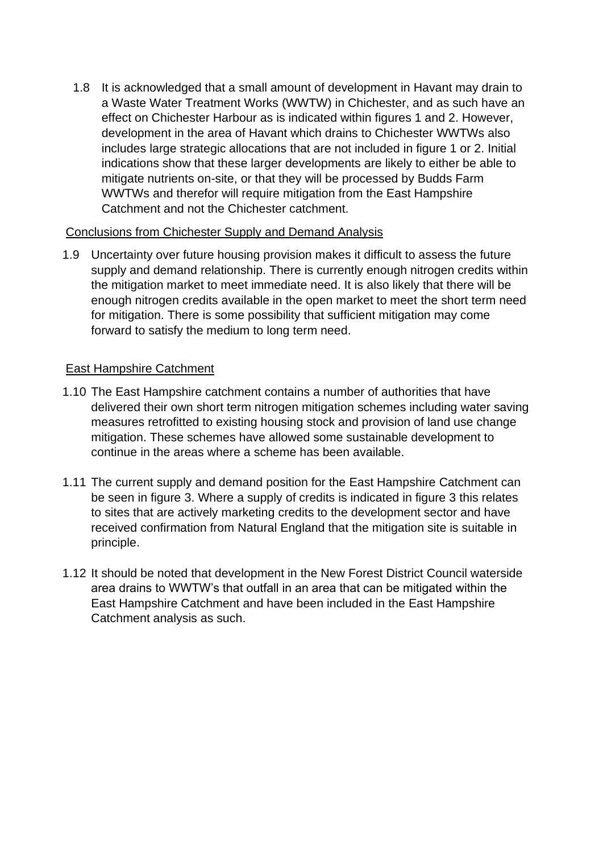1.8 It is acknowledged that a small amount of development in Havant may drain to a Waste Water Treatment Works (WWTW) in Chichester, and as such have an effect on Chichester Harbour as is indicated within figures 1 and 2. However, development in the area of Havant which drains to Chichester WWTWs also includes large strategic allocations that are not included in figure 1 or 2. Initial indications show that these larger developments are likely to either be able to mitigate nutrients on-site, or that they will be processed by Budds Farm WWTWs and therefor will require mitigation from the East Hampshire Catchment and not the Chichester catchment.

### Conclusions from Chichester Supply and Demand Analysis

1.9 Uncertainty over future housing provision makes it difficult to assess the future supply and demand relationship. There is currently enough nitrogen credits within the mitigation market to meet immediate need. It is also likely that there will be enough nitrogen credits available in the open market to meet the short term need for mitigation. There is some possibility that sufficient mitigation may come forward to satisfy the medium to long term need.

# East Hampshire Catchment

- 1.10 The East Hampshire catchment contains a number of authorities that have delivered their own short term nitrogen mitigation schemes including water saving measures retrofitted to existing housing stock and provision of land use change mitigation. These schemes have allowed some sustainable development to continue in the areas where a scheme has been available.
- 1.11 The current supply and demand position for the East Hampshire Catchment can be seen in figure 3. Where a supply of credits is indicated in figure 3 this relates to sites that are actively marketing credits to the development sector and have received confirmation from Natural England that the mitigation site is suitable in principle.
- 1.12 It should be noted that development in the New Forest District Council waterside area drains to WWTW's that outfall in an area that can be mitigated within the East Hampshire Catchment and have been included in the East Hampshire Catchment analysis as such.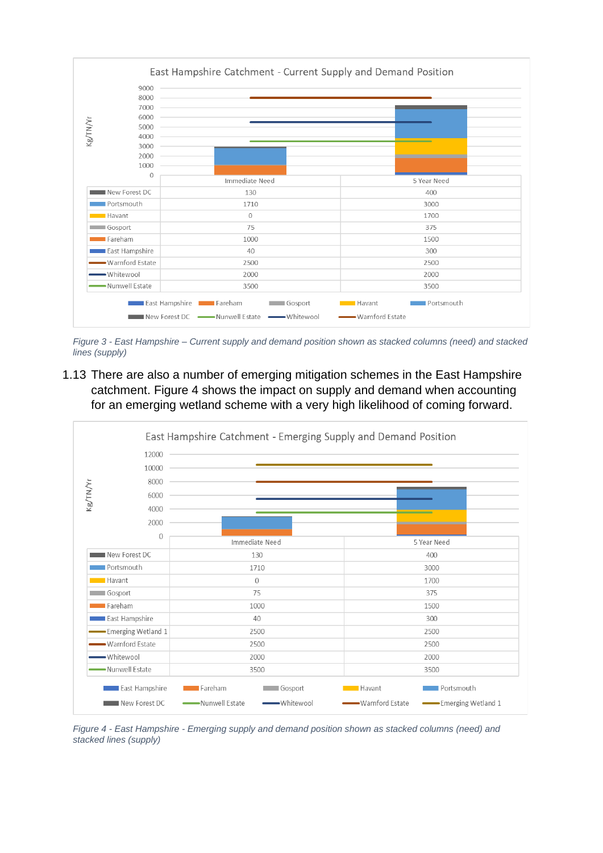

*Figure 3 - East Hampshire – Current supply and demand position shown as stacked columns (need) and stacked lines (supply)*

1.13 There are also a number of emerging mitigation schemes in the East Hampshire catchment. Figure 4 shows the impact on supply and demand when accounting for an emerging wetland scheme with a very high likelihood of coming forward.



*Figure 4 - East Hampshire - Emerging supply and demand position shown as stacked columns (need) and stacked lines (supply)*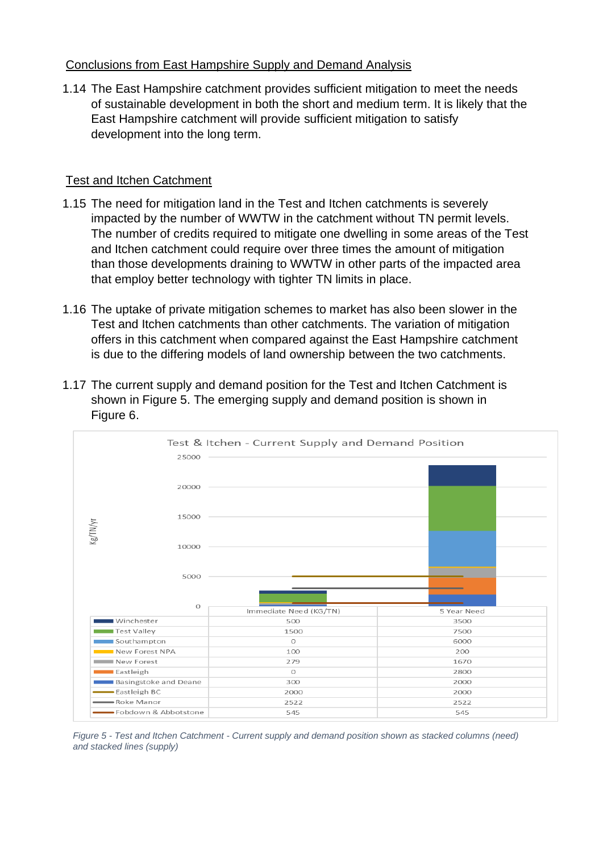# Conclusions from East Hampshire Supply and Demand Analysis

1.14 The East Hampshire catchment provides sufficient mitigation to meet the needs of sustainable development in both the short and medium term. It is likely that the East Hampshire catchment will provide sufficient mitigation to satisfy development into the long term.

# Test and Itchen Catchment

- 1.15 The need for mitigation land in the Test and Itchen catchments is severely impacted by the number of WWTW in the catchment without TN permit levels. The number of credits required to mitigate one dwelling in some areas of the Test and Itchen catchment could require over three times the amount of mitigation than those developments draining to WWTW in other parts of the impacted area that employ better technology with tighter TN limits in place.
- 1.16 The uptake of private mitigation schemes to market has also been slower in the Test and Itchen catchments than other catchments. The variation of mitigation offers in this catchment when compared against the East Hampshire catchment is due to the differing models of land ownership between the two catchments.
- 1.17 The current supply and demand position for the Test and Itchen Catchment is shown in Figure 5. The emerging supply and demand position is shown in Figure 6.



*Figure 5 - Test and Itchen Catchment - Current supply and demand position shown as stacked columns (need) and stacked lines (supply)*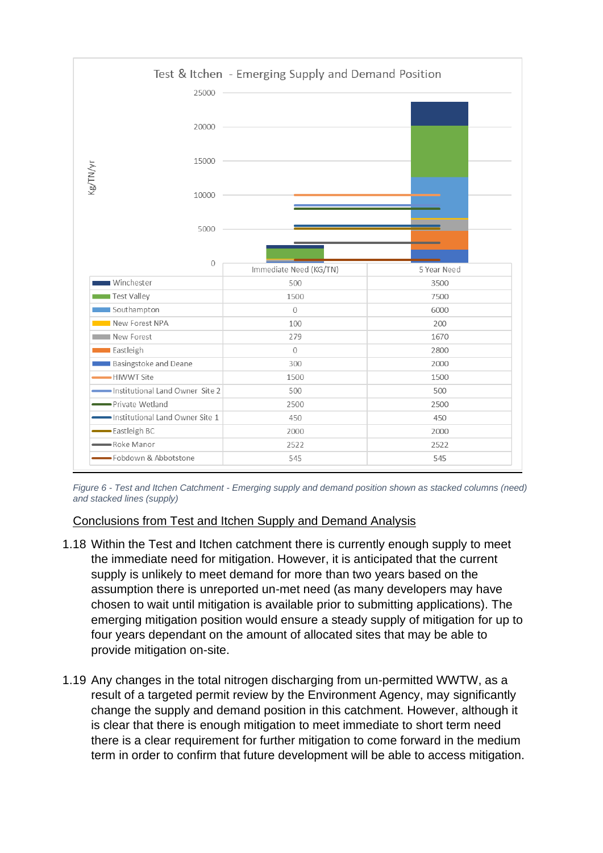

*Figure 6 - Test and Itchen Catchment - Emerging supply and demand position shown as stacked columns (need) and stacked lines (supply)*

### Conclusions from Test and Itchen Supply and Demand Analysis

- 1.18 Within the Test and Itchen catchment there is currently enough supply to meet the immediate need for mitigation. However, it is anticipated that the current supply is unlikely to meet demand for more than two years based on the assumption there is unreported un-met need (as many developers may have chosen to wait until mitigation is available prior to submitting applications). The emerging mitigation position would ensure a steady supply of mitigation for up to four years dependant on the amount of allocated sites that may be able to provide mitigation on-site.
- 1.19 Any changes in the total nitrogen discharging from un-permitted WWTW, as a result of a targeted permit review by the Environment Agency, may significantly change the supply and demand position in this catchment. However, although it is clear that there is enough mitigation to meet immediate to short term need there is a clear requirement for further mitigation to come forward in the medium term in order to confirm that future development will be able to access mitigation.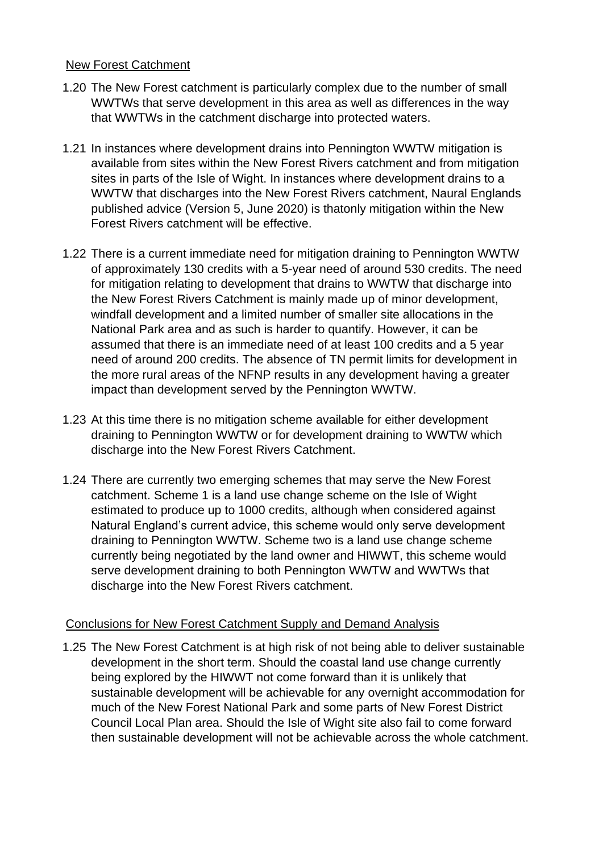### New Forest Catchment

- 1.20 The New Forest catchment is particularly complex due to the number of small WWTWs that serve development in this area as well as differences in the way that WWTWs in the catchment discharge into protected waters.
- 1.21 In instances where development drains into Pennington WWTW mitigation is available from sites within the New Forest Rivers catchment and from mitigation sites in parts of the Isle of Wight. In instances where development drains to a WWTW that discharges into the New Forest Rivers catchment, Naural Englands published advice (Version 5, June 2020) is thatonly mitigation within the New Forest Rivers catchment will be effective.
- 1.22 There is a current immediate need for mitigation draining to Pennington WWTW of approximately 130 credits with a 5-year need of around 530 credits. The need for mitigation relating to development that drains to WWTW that discharge into the New Forest Rivers Catchment is mainly made up of minor development, windfall development and a limited number of smaller site allocations in the National Park area and as such is harder to quantify. However, it can be assumed that there is an immediate need of at least 100 credits and a 5 year need of around 200 credits. The absence of TN permit limits for development in the more rural areas of the NFNP results in any development having a greater impact than development served by the Pennington WWTW.
- 1.23 At this time there is no mitigation scheme available for either development draining to Pennington WWTW or for development draining to WWTW which discharge into the New Forest Rivers Catchment.
- 1.24 There are currently two emerging schemes that may serve the New Forest catchment. Scheme 1 is a land use change scheme on the Isle of Wight estimated to produce up to 1000 credits, although when considered against Natural England's current advice, this scheme would only serve development draining to Pennington WWTW. Scheme two is a land use change scheme currently being negotiated by the land owner and HIWWT, this scheme would serve development draining to both Pennington WWTW and WWTWs that discharge into the New Forest Rivers catchment.

### Conclusions for New Forest Catchment Supply and Demand Analysis

1.25 The New Forest Catchment is at high risk of not being able to deliver sustainable development in the short term. Should the coastal land use change currently being explored by the HIWWT not come forward than it is unlikely that sustainable development will be achievable for any overnight accommodation for much of the New Forest National Park and some parts of New Forest District Council Local Plan area. Should the Isle of Wight site also fail to come forward then sustainable development will not be achievable across the whole catchment.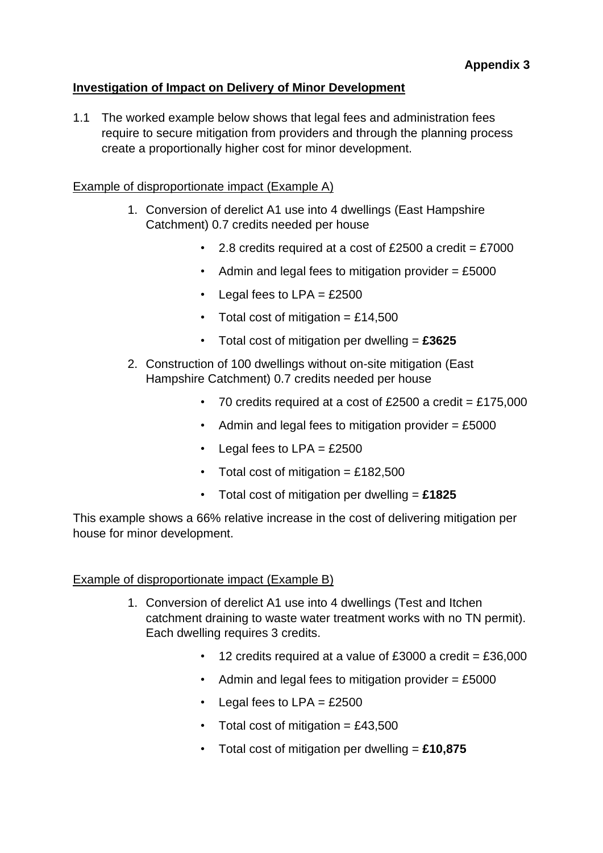# **Investigation of Impact on Delivery of Minor Development**

1.1 The worked example below shows that legal fees and administration fees require to secure mitigation from providers and through the planning process create a proportionally higher cost for minor development.

### Example of disproportionate impact (Example A)

- 1. Conversion of derelict A1 use into 4 dwellings (East Hampshire Catchment) 0.7 credits needed per house
	- 2.8 credits required at a cost of £2500 a credit =  $£7000$
	- Admin and legal fees to mitigation provider  $= \pounds 5000$
	- Legal fees to  $LPA = \text{\textsterling}2500$
	- Total cost of mitigation  $=$  £14,500
	- Total cost of mitigation per dwelling = **£3625**
- 2. Construction of 100 dwellings without on-site mitigation (East Hampshire Catchment) 0.7 credits needed per house
	- 70 credits required at a cost of £2500 a credit =  $£175,000$
	- Admin and legal fees to mitigation provider  $=$  £5000
	- Legal fees to  $LPA = \text{\textsterling}2500$
	- Total cost of mitigation = £182,500
	- Total cost of mitigation per dwelling = **£1825**

This example shows a 66% relative increase in the cost of delivering mitigation per house for minor development.

# Example of disproportionate impact (Example B)

- 1. Conversion of derelict A1 use into 4 dwellings (Test and Itchen catchment draining to waste water treatment works with no TN permit). Each dwelling requires 3 credits.
	- 12 credits required at a value of £3000 a credit =  $£36,000$
	- Admin and legal fees to mitigation provider  $= \pounds 5000$
	- Legal fees to  $LPA = \text{\textsterling}2500$
	- Total cost of mitigation  $=$  £43,500
	- Total cost of mitigation per dwelling = **£10,875**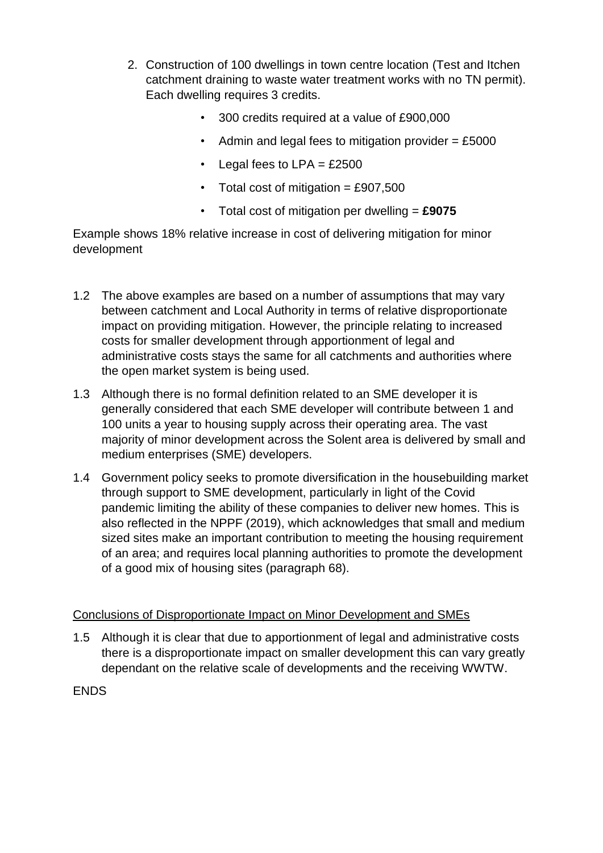- 2. Construction of 100 dwellings in town centre location (Test and Itchen catchment draining to waste water treatment works with no TN permit). Each dwelling requires 3 credits.
	- 300 credits required at a value of £900,000
	- Admin and legal fees to mitigation provider  $=$  £5000
	- Legal fees to  $LPA = £2500$
	- Total cost of mitigation =  $£907,500$
	- Total cost of mitigation per dwelling = **£9075**

Example shows 18% relative increase in cost of delivering mitigation for minor development

- 1.2 The above examples are based on a number of assumptions that may vary between catchment and Local Authority in terms of relative disproportionate impact on providing mitigation. However, the principle relating to increased costs for smaller development through apportionment of legal and administrative costs stays the same for all catchments and authorities where the open market system is being used.
- 1.3 Although there is no formal definition related to an SME developer it is generally considered that each SME developer will contribute between 1 and 100 units a year to housing supply across their operating area. The vast majority of minor development across the Solent area is delivered by small and medium enterprises (SME) developers.
- 1.4 Government policy seeks to promote diversification in the housebuilding market through support to SME development, particularly in light of the Covid pandemic limiting the ability of these companies to deliver new homes. This is also reflected in the NPPF (2019), which acknowledges that small and medium sized sites make an important contribution to meeting the housing requirement of an area; and requires local planning authorities to promote the development of a good mix of housing sites (paragraph 68).

### Conclusions of Disproportionate Impact on Minor Development and SMEs

1.5 Although it is clear that due to apportionment of legal and administrative costs there is a disproportionate impact on smaller development this can vary greatly dependant on the relative scale of developments and the receiving WWTW.

ENDS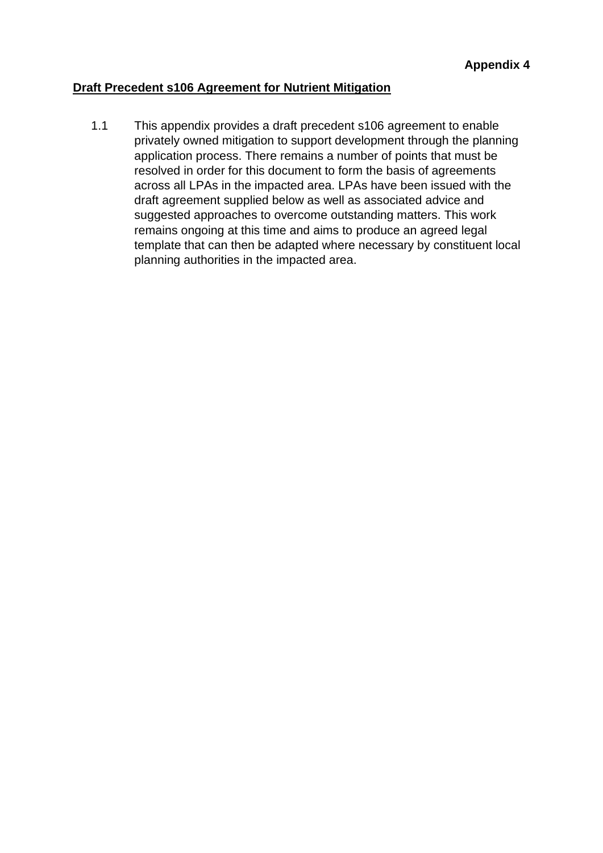### **Draft Precedent s106 Agreement for Nutrient Mitigation**

1.1 This appendix provides a draft precedent s106 agreement to enable privately owned mitigation to support development through the planning application process. There remains a number of points that must be resolved in order for this document to form the basis of agreements across all LPAs in the impacted area. LPAs have been issued with the draft agreement supplied below as well as associated advice and suggested approaches to overcome outstanding matters. This work remains ongoing at this time and aims to produce an agreed legal template that can then be adapted where necessary by constituent local planning authorities in the impacted area.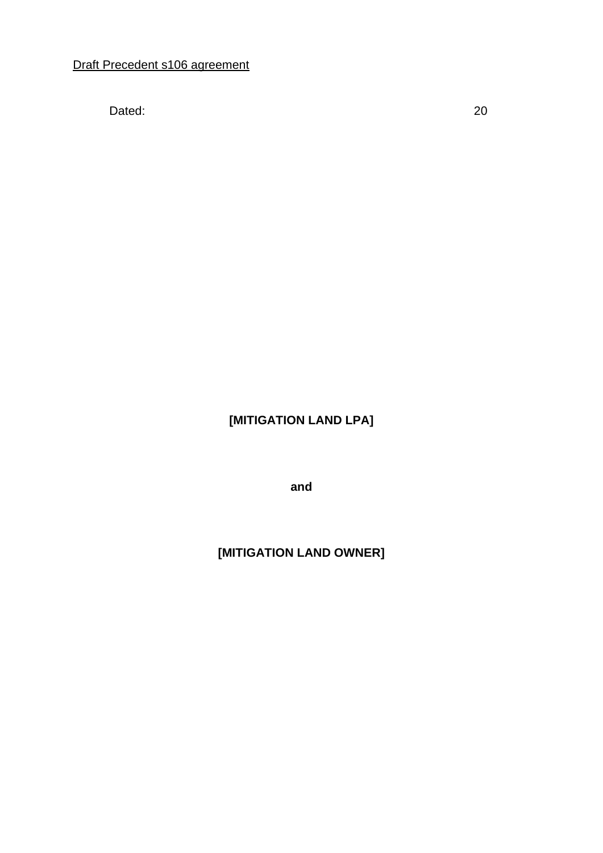Dated: 20

# **[MITIGATION LAND LPA]**

**and**

# **[MITIGATION LAND OWNER]**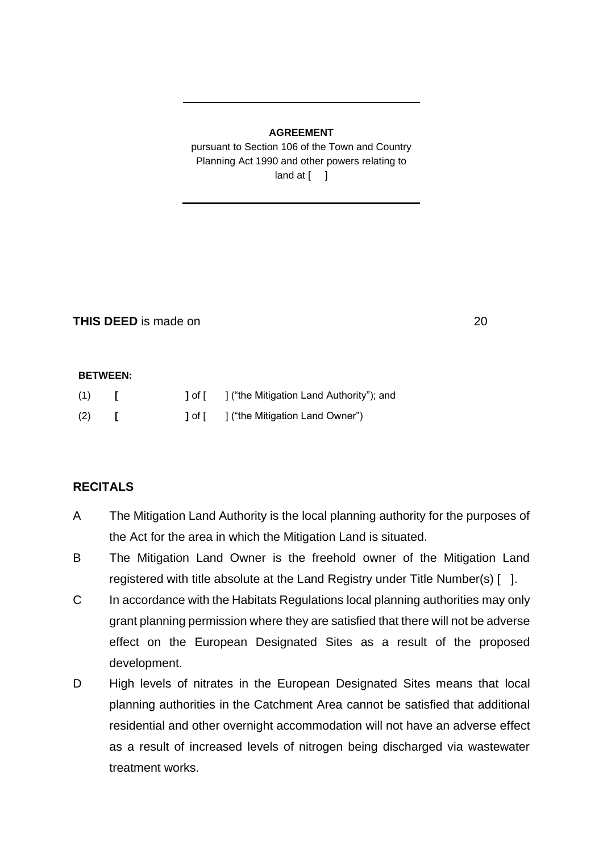### **AGREEMENT**

pursuant to Section 106 of the Town and Country Planning Act 1990 and other powers relating to  $land at [ ]$ 

**THIS DEED** is made on 20

#### **BETWEEN:**

| (1) |  | 1 of [ ] ("the Mitigation Land Authority"); and |
|-----|--|-------------------------------------------------|
| (2) |  | <b>J</b> of [ ] ("the Mitigation Land Owner")   |

### **RECITALS**

- A The Mitigation Land Authority is the local planning authority for the purposes of the Act for the area in which the Mitigation Land is situated.
- B The Mitigation Land Owner is the freehold owner of the Mitigation Land registered with title absolute at the Land Registry under Title Number(s) [ ].
- C In accordance with the Habitats Regulations local planning authorities may only grant planning permission where they are satisfied that there will not be adverse effect on the European Designated Sites as a result of the proposed development.
- D High levels of nitrates in the European Designated Sites means that local planning authorities in the Catchment Area cannot be satisfied that additional residential and other overnight accommodation will not have an adverse effect as a result of increased levels of nitrogen being discharged via wastewater treatment works.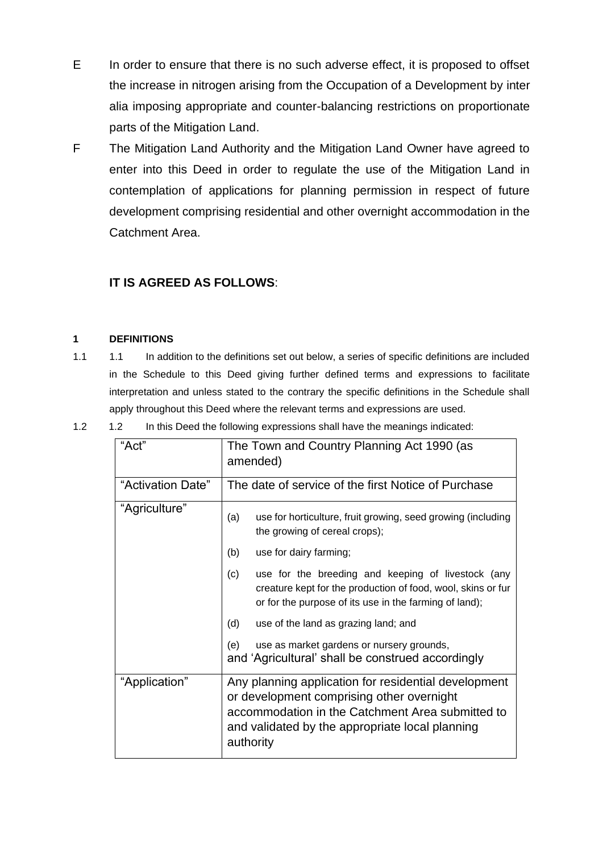- E In order to ensure that there is no such adverse effect, it is proposed to offset the increase in nitrogen arising from the Occupation of a Development by inter alia imposing appropriate and counter-balancing restrictions on proportionate parts of the Mitigation Land.
- F The Mitigation Land Authority and the Mitigation Land Owner have agreed to enter into this Deed in order to regulate the use of the Mitigation Land in contemplation of applications for planning permission in respect of future development comprising residential and other overnight accommodation in the Catchment Area.

### **IT IS AGREED AS FOLLOWS**:

### **1 DEFINITIONS**

- 1.1 1.1 In addition to the definitions set out below, a series of specific definitions are included in the Schedule to this Deed giving further defined terms and expressions to facilitate interpretation and unless stated to the contrary the specific definitions in the Schedule shall apply throughout this Deed where the relevant terms and expressions are used.
	- "Act" The Town and Country Planning Act 1990 (as amended) "Activation Date"  $\parallel$  The date of service of the first Notice of Purchase "Agriculture" (a) use for horticulture, fruit growing, seed growing (including the growing of cereal crops); (b) use for dairy farming; (c) use for the breeding and keeping of livestock (any creature kept for the production of food, wool, skins or fur or for the purpose of its use in the farming of land); (d) use of the land as grazing land; and (e) use as market gardens or nursery grounds, and 'Agricultural' shall be construed accordingly "Application" | Any planning application for residential development or development comprising other overnight accommodation in the Catchment Area submitted to and validated by the appropriate local planning authority

1.2 1.2 In this Deed the following expressions shall have the meanings indicated: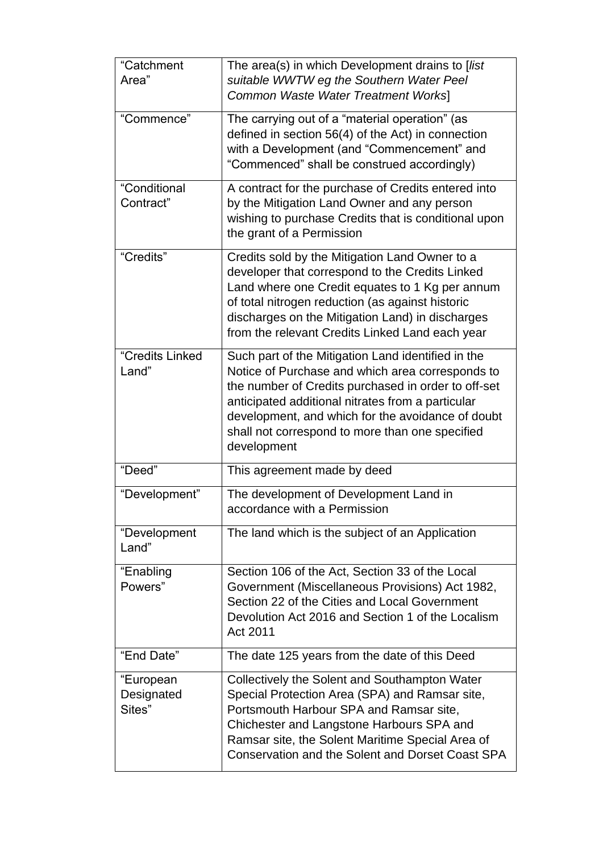| "Catchment<br>Area"               | The area(s) in which Development drains to [list<br>suitable WWTW eg the Southern Water Peel<br>Common Waste Water Treatment Works]                                                                                                                                                                                                       |
|-----------------------------------|-------------------------------------------------------------------------------------------------------------------------------------------------------------------------------------------------------------------------------------------------------------------------------------------------------------------------------------------|
| "Commence"                        | The carrying out of a "material operation" (as<br>defined in section 56(4) of the Act) in connection<br>with a Development (and "Commencement" and<br>"Commenced" shall be construed accordingly)                                                                                                                                         |
| "Conditional<br>Contract"         | A contract for the purchase of Credits entered into<br>by the Mitigation Land Owner and any person<br>wishing to purchase Credits that is conditional upon<br>the grant of a Permission                                                                                                                                                   |
| "Credits"                         | Credits sold by the Mitigation Land Owner to a<br>developer that correspond to the Credits Linked<br>Land where one Credit equates to 1 Kg per annum<br>of total nitrogen reduction (as against historic<br>discharges on the Mitigation Land) in discharges<br>from the relevant Credits Linked Land each year                           |
| "Credits Linked<br>Land"          | Such part of the Mitigation Land identified in the<br>Notice of Purchase and which area corresponds to<br>the number of Credits purchased in order to off-set<br>anticipated additional nitrates from a particular<br>development, and which for the avoidance of doubt<br>shall not correspond to more than one specified<br>development |
| "Deed"                            | This agreement made by deed                                                                                                                                                                                                                                                                                                               |
| "Development"                     | The development of Development Land in<br>accordance with a Permission                                                                                                                                                                                                                                                                    |
| "Development<br>Land"             | The land which is the subject of an Application                                                                                                                                                                                                                                                                                           |
| "Enabling<br>Powers"              | Section 106 of the Act, Section 33 of the Local<br>Government (Miscellaneous Provisions) Act 1982,<br>Section 22 of the Cities and Local Government<br>Devolution Act 2016 and Section 1 of the Localism<br>Act 2011                                                                                                                      |
| "End Date"                        | The date 125 years from the date of this Deed                                                                                                                                                                                                                                                                                             |
| "European<br>Designated<br>Sites" | Collectively the Solent and Southampton Water<br>Special Protection Area (SPA) and Ramsar site,<br>Portsmouth Harbour SPA and Ramsar site,<br>Chichester and Langstone Harbours SPA and<br>Ramsar site, the Solent Maritime Special Area of<br>Conservation and the Solent and Dorset Coast SPA                                           |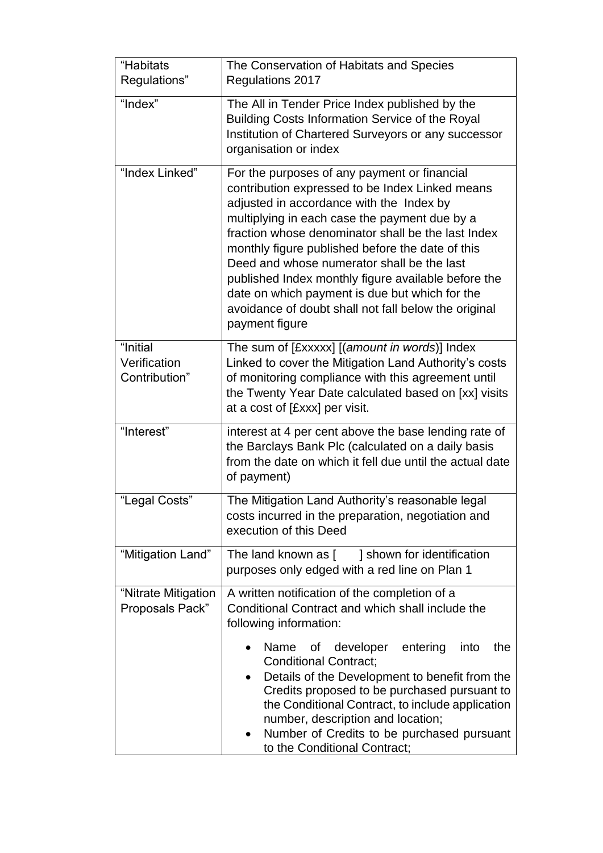| "Habitats<br>Regulations"                 | The Conservation of Habitats and Species<br>Regulations 2017                                                                                                                                                                                                                                                                                                                                                                                                                                                                            |  |  |  |  |
|-------------------------------------------|-----------------------------------------------------------------------------------------------------------------------------------------------------------------------------------------------------------------------------------------------------------------------------------------------------------------------------------------------------------------------------------------------------------------------------------------------------------------------------------------------------------------------------------------|--|--|--|--|
| "Index"                                   | The All in Tender Price Index published by the<br>Building Costs Information Service of the Royal<br>Institution of Chartered Surveyors or any successor<br>organisation or index                                                                                                                                                                                                                                                                                                                                                       |  |  |  |  |
| "Index Linked"                            | For the purposes of any payment or financial<br>contribution expressed to be Index Linked means<br>adjusted in accordance with the Index by<br>multiplying in each case the payment due by a<br>fraction whose denominator shall be the last Index<br>monthly figure published before the date of this<br>Deed and whose numerator shall be the last<br>published Index monthly figure available before the<br>date on which payment is due but which for the<br>avoidance of doubt shall not fall below the original<br>payment figure |  |  |  |  |
| "Initial<br>Verification<br>Contribution" | The sum of [£xxxxx] [(amount in words)] Index<br>Linked to cover the Mitigation Land Authority's costs<br>of monitoring compliance with this agreement until<br>the Twenty Year Date calculated based on [xx] visits<br>at a cost of [£xxx] per visit.                                                                                                                                                                                                                                                                                  |  |  |  |  |
| "Interest"                                | interest at 4 per cent above the base lending rate of<br>the Barclays Bank Plc (calculated on a daily basis<br>from the date on which it fell due until the actual date<br>of payment)                                                                                                                                                                                                                                                                                                                                                  |  |  |  |  |
| "Legal Costs"                             | The Mitigation Land Authority's reasonable legal<br>costs incurred in the preparation, negotiation and<br>execution of this Deed                                                                                                                                                                                                                                                                                                                                                                                                        |  |  |  |  |
| "Mitigation Land"                         | The land known as [ ] shown for identification<br>purposes only edged with a red line on Plan 1                                                                                                                                                                                                                                                                                                                                                                                                                                         |  |  |  |  |
| "Nitrate Mitigation<br>Proposals Pack"    | A written notification of the completion of a<br>Conditional Contract and which shall include the<br>following information:                                                                                                                                                                                                                                                                                                                                                                                                             |  |  |  |  |
|                                           | Name<br>developer<br>entering<br>the<br>of<br>into<br><b>Conditional Contract;</b><br>Details of the Development to benefit from the<br>Credits proposed to be purchased pursuant to<br>the Conditional Contract, to include application<br>number, description and location;<br>Number of Credits to be purchased pursuant<br>to the Conditional Contract;                                                                                                                                                                             |  |  |  |  |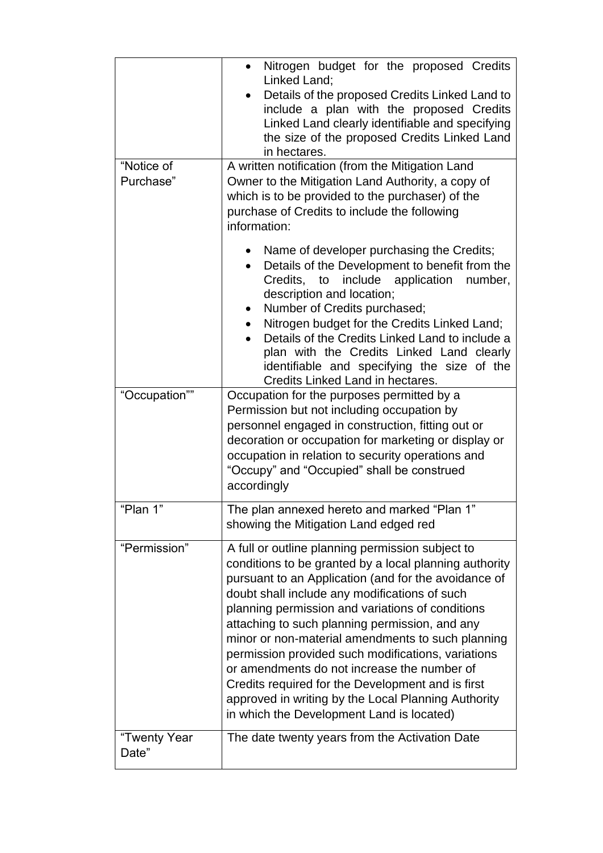|                         | Nitrogen budget for the proposed Credits<br>Linked Land;<br>Details of the proposed Credits Linked Land to<br>include a plan with the proposed Credits<br>Linked Land clearly identifiable and specifying<br>the size of the proposed Credits Linked Land<br>in hectares.                                                                                                                                                                                                                                                                                                                                                                    |  |  |  |
|-------------------------|----------------------------------------------------------------------------------------------------------------------------------------------------------------------------------------------------------------------------------------------------------------------------------------------------------------------------------------------------------------------------------------------------------------------------------------------------------------------------------------------------------------------------------------------------------------------------------------------------------------------------------------------|--|--|--|
| "Notice of<br>Purchase" | A written notification (from the Mitigation Land<br>Owner to the Mitigation Land Authority, a copy of<br>which is to be provided to the purchaser) of the<br>purchase of Credits to include the following<br>information:                                                                                                                                                                                                                                                                                                                                                                                                                    |  |  |  |
|                         | Name of developer purchasing the Credits;<br>Details of the Development to benefit from the<br>Credits, to include application<br>number,<br>description and location;<br>Number of Credits purchased;<br>Nitrogen budget for the Credits Linked Land;<br>Details of the Credits Linked Land to include a<br>plan with the Credits Linked Land clearly<br>identifiable and specifying the size of the<br>Credits Linked Land in hectares.                                                                                                                                                                                                    |  |  |  |
| "Occupation""           | Occupation for the purposes permitted by a<br>Permission but not including occupation by<br>personnel engaged in construction, fitting out or<br>decoration or occupation for marketing or display or<br>occupation in relation to security operations and<br>"Occupy" and "Occupied" shall be construed<br>accordingly                                                                                                                                                                                                                                                                                                                      |  |  |  |
| "Plan 1"                | The plan annexed hereto and marked "Plan 1"<br>showing the Mitigation Land edged red                                                                                                                                                                                                                                                                                                                                                                                                                                                                                                                                                         |  |  |  |
| "Permission"            | A full or outline planning permission subject to<br>conditions to be granted by a local planning authority<br>pursuant to an Application (and for the avoidance of<br>doubt shall include any modifications of such<br>planning permission and variations of conditions<br>attaching to such planning permission, and any<br>minor or non-material amendments to such planning<br>permission provided such modifications, variations<br>or amendments do not increase the number of<br>Credits required for the Development and is first<br>approved in writing by the Local Planning Authority<br>in which the Development Land is located) |  |  |  |
| "Twenty Year<br>Date"   | The date twenty years from the Activation Date                                                                                                                                                                                                                                                                                                                                                                                                                                                                                                                                                                                               |  |  |  |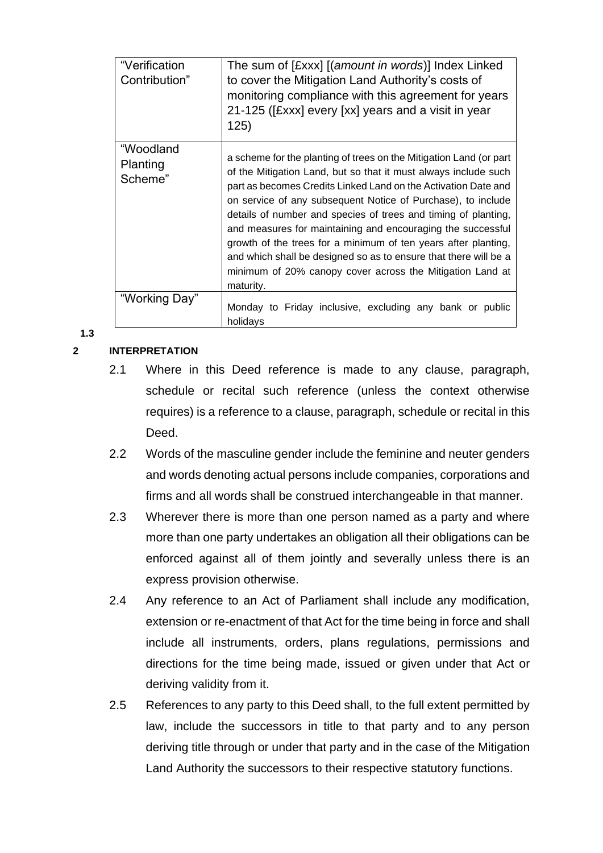| "Verification<br>Contribution"   | The sum of [£xxx] [(amount in words)] Index Linked<br>to cover the Mitigation Land Authority's costs of<br>monitoring compliance with this agreement for years<br>21-125 ([£xxx] every [xx] years and a visit in year<br>125)                                                                                                                                                                                                                                                                                                                                                                                            |
|----------------------------------|--------------------------------------------------------------------------------------------------------------------------------------------------------------------------------------------------------------------------------------------------------------------------------------------------------------------------------------------------------------------------------------------------------------------------------------------------------------------------------------------------------------------------------------------------------------------------------------------------------------------------|
| "Woodland<br>Planting<br>Scheme" | a scheme for the planting of trees on the Mitigation Land (or part<br>of the Mitigation Land, but so that it must always include such<br>part as becomes Credits Linked Land on the Activation Date and<br>on service of any subsequent Notice of Purchase), to include<br>details of number and species of trees and timing of planting,<br>and measures for maintaining and encouraging the successful<br>growth of the trees for a minimum of ten years after planting,<br>and which shall be designed so as to ensure that there will be a<br>minimum of 20% canopy cover across the Mitigation Land at<br>maturity. |
| "Working Day"                    | Monday to Friday inclusive, excluding any bank or public                                                                                                                                                                                                                                                                                                                                                                                                                                                                                                                                                                 |
|                                  | holidays                                                                                                                                                                                                                                                                                                                                                                                                                                                                                                                                                                                                                 |

**1.3**

### **2 INTERPRETATION**

- 2.1 Where in this Deed reference is made to any clause, paragraph, schedule or recital such reference (unless the context otherwise requires) is a reference to a clause, paragraph, schedule or recital in this Deed.
- 2.2 Words of the masculine gender include the feminine and neuter genders and words denoting actual persons include companies, corporations and firms and all words shall be construed interchangeable in that manner.
- 2.3 Wherever there is more than one person named as a party and where more than one party undertakes an obligation all their obligations can be enforced against all of them jointly and severally unless there is an express provision otherwise.
- 2.4 Any reference to an Act of Parliament shall include any modification, extension or re-enactment of that Act for the time being in force and shall include all instruments, orders, plans regulations, permissions and directions for the time being made, issued or given under that Act or deriving validity from it.
- 2.5 References to any party to this Deed shall, to the full extent permitted by law, include the successors in title to that party and to any person deriving title through or under that party and in the case of the Mitigation Land Authority the successors to their respective statutory functions.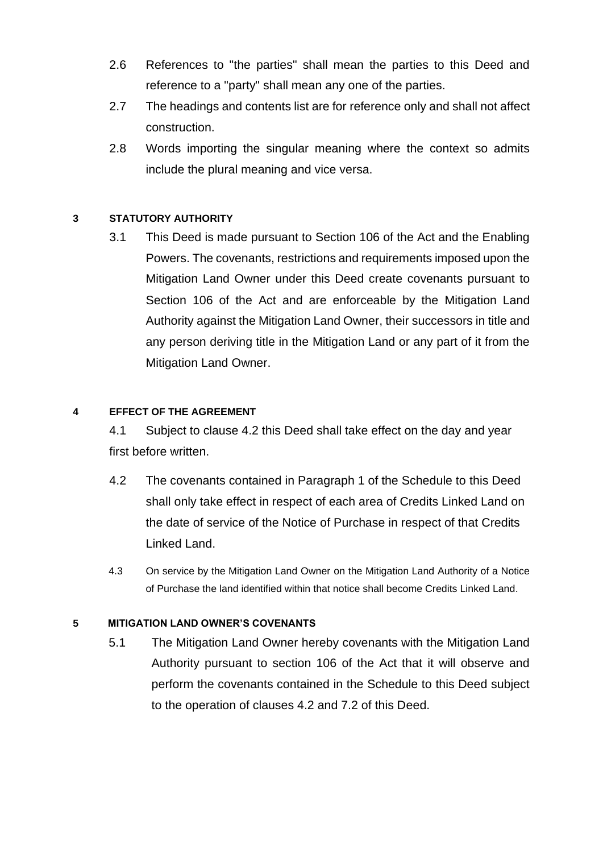- 2.6 References to "the parties" shall mean the parties to this Deed and reference to a "party" shall mean any one of the parties.
- 2.7 The headings and contents list are for reference only and shall not affect construction.
- 2.8 Words importing the singular meaning where the context so admits include the plural meaning and vice versa.

### **3 STATUTORY AUTHORITY**

3.1 This Deed is made pursuant to Section 106 of the Act and the Enabling Powers. The covenants, restrictions and requirements imposed upon the Mitigation Land Owner under this Deed create covenants pursuant to Section 106 of the Act and are enforceable by the Mitigation Land Authority against the Mitigation Land Owner, their successors in title and any person deriving title in the Mitigation Land or any part of it from the Mitigation Land Owner.

### **4 EFFECT OF THE AGREEMENT**

4.1 Subject to clause 4.2 this Deed shall take effect on the day and year first before written.

- 4.2 The covenants contained in Paragraph 1 of the Schedule to this Deed shall only take effect in respect of each area of Credits Linked Land on the date of service of the Notice of Purchase in respect of that Credits Linked Land.
- 4.3 On service by the Mitigation Land Owner on the Mitigation Land Authority of a Notice of Purchase the land identified within that notice shall become Credits Linked Land.

### **5 MITIGATION LAND OWNER'S COVENANTS**

5.1 The Mitigation Land Owner hereby covenants with the Mitigation Land Authority pursuant to section 106 of the Act that it will observe and perform the covenants contained in the Schedule to this Deed subject to the operation of clauses 4.2 and 7.2 of this Deed.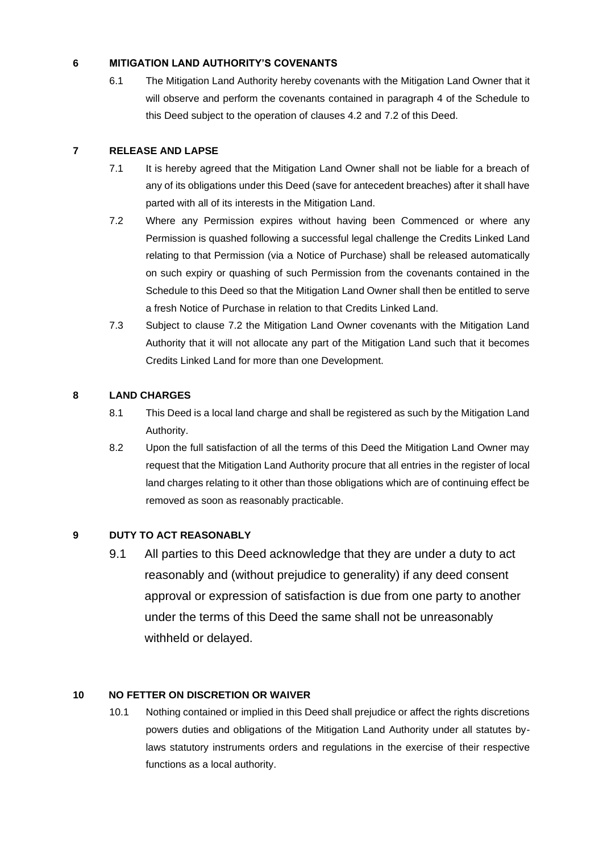### **6 MITIGATION LAND AUTHORITY'S COVENANTS**

6.1 The Mitigation Land Authority hereby covenants with the Mitigation Land Owner that it will observe and perform the covenants contained in paragraph 4 of the Schedule to this Deed subject to the operation of clauses 4.2 and 7.2 of this Deed.

### **7 RELEASE AND LAPSE**

- 7.1 It is hereby agreed that the Mitigation Land Owner shall not be liable for a breach of any of its obligations under this Deed (save for antecedent breaches) after it shall have parted with all of its interests in the Mitigation Land.
- 7.2 Where any Permission expires without having been Commenced or where any Permission is quashed following a successful legal challenge the Credits Linked Land relating to that Permission (via a Notice of Purchase) shall be released automatically on such expiry or quashing of such Permission from the covenants contained in the Schedule to this Deed so that the Mitigation Land Owner shall then be entitled to serve a fresh Notice of Purchase in relation to that Credits Linked Land.
- 7.3 Subject to clause 7.2 the Mitigation Land Owner covenants with the Mitigation Land Authority that it will not allocate any part of the Mitigation Land such that it becomes Credits Linked Land for more than one Development.

### **8 LAND CHARGES**

- 8.1 This Deed is a local land charge and shall be registered as such by the Mitigation Land Authority.
- 8.2 Upon the full satisfaction of all the terms of this Deed the Mitigation Land Owner may request that the Mitigation Land Authority procure that all entries in the register of local land charges relating to it other than those obligations which are of continuing effect be removed as soon as reasonably practicable.

### **9 DUTY TO ACT REASONABLY**

9.1 All parties to this Deed acknowledge that they are under a duty to act reasonably and (without prejudice to generality) if any deed consent approval or expression of satisfaction is due from one party to another under the terms of this Deed the same shall not be unreasonably withheld or delayed.

### **10 NO FETTER ON DISCRETION OR WAIVER**

10.1 Nothing contained or implied in this Deed shall prejudice or affect the rights discretions powers duties and obligations of the Mitigation Land Authority under all statutes bylaws statutory instruments orders and regulations in the exercise of their respective functions as a local authority.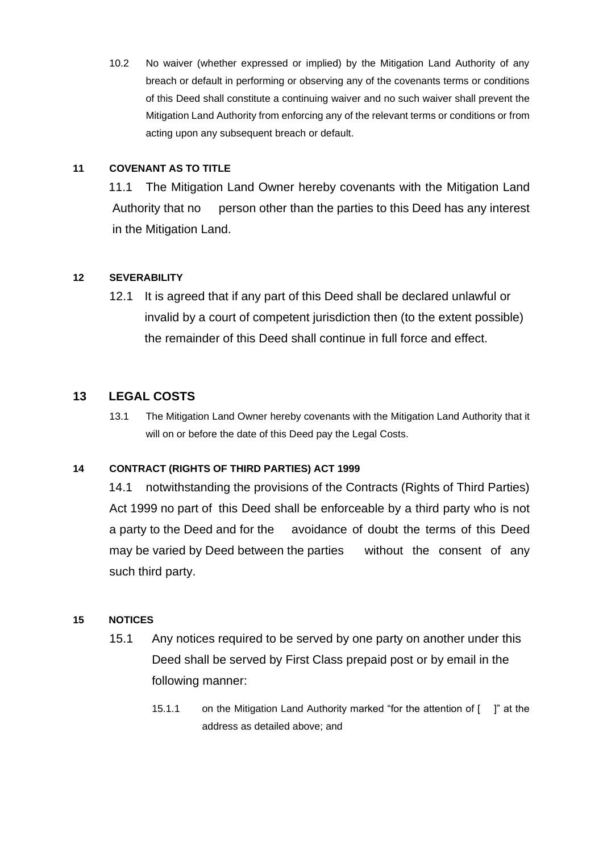10.2 No waiver (whether expressed or implied) by the Mitigation Land Authority of any breach or default in performing or observing any of the covenants terms or conditions of this Deed shall constitute a continuing waiver and no such waiver shall prevent the Mitigation Land Authority from enforcing any of the relevant terms or conditions or from acting upon any subsequent breach or default.

### **11 COVENANT AS TO TITLE**

11.1 The Mitigation Land Owner hereby covenants with the Mitigation Land Authority that no person other than the parties to this Deed has any interest in the Mitigation Land.

### **12 SEVERABILITY**

12.1 It is agreed that if any part of this Deed shall be declared unlawful or invalid by a court of competent jurisdiction then (to the extent possible) the remainder of this Deed shall continue in full force and effect.

### **13 LEGAL COSTS**

13.1 The Mitigation Land Owner hereby covenants with the Mitigation Land Authority that it will on or before the date of this Deed pay the Legal Costs.

### **14 CONTRACT (RIGHTS OF THIRD PARTIES) ACT 1999**

14.1 notwithstanding the provisions of the Contracts (Rights of Third Parties) Act 1999 no part of this Deed shall be enforceable by a third party who is not a party to the Deed and for the avoidance of doubt the terms of this Deed may be varied by Deed between the parties without the consent of any such third party.

### **15 NOTICES**

- 15.1 Any notices required to be served by one party on another under this Deed shall be served by First Class prepaid post or by email in the following manner:
	- 15.1.1 on the Mitigation Land Authority marked "for the attention of [ ]" at the address as detailed above; and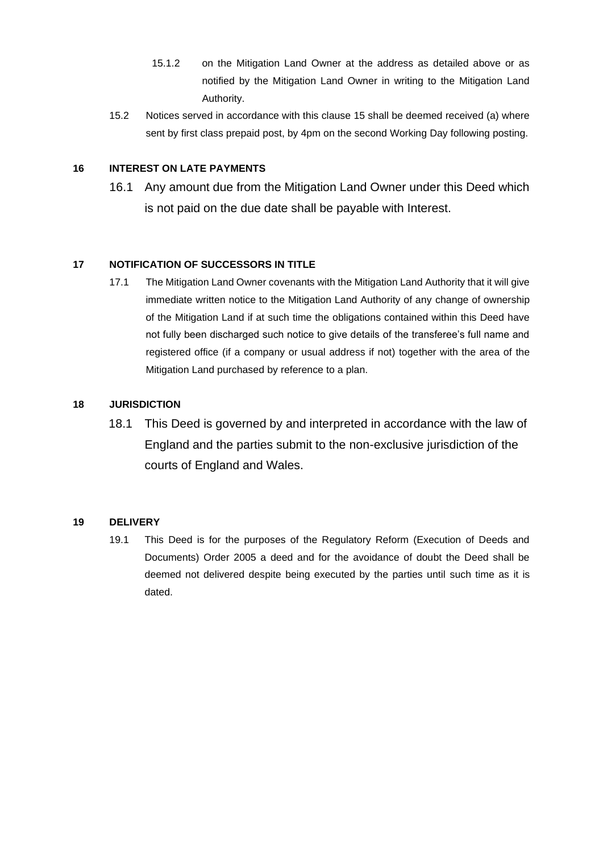- 15.1.2 on the Mitigation Land Owner at the address as detailed above or as notified by the Mitigation Land Owner in writing to the Mitigation Land Authority.
- 15.2 Notices served in accordance with this clause 15 shall be deemed received (a) where sent by first class prepaid post, by 4pm on the second Working Day following posting.

### **16 INTEREST ON LATE PAYMENTS**

16.1 Any amount due from the Mitigation Land Owner under this Deed which is not paid on the due date shall be payable with Interest.

### **17 NOTIFICATION OF SUCCESSORS IN TITLE**

17.1 The Mitigation Land Owner covenants with the Mitigation Land Authority that it will give immediate written notice to the Mitigation Land Authority of any change of ownership of the Mitigation Land if at such time the obligations contained within this Deed have not fully been discharged such notice to give details of the transferee's full name and registered office (if a company or usual address if not) together with the area of the Mitigation Land purchased by reference to a plan.

### **18 JURISDICTION**

18.1 This Deed is governed by and interpreted in accordance with the law of England and the parties submit to the non-exclusive jurisdiction of the courts of England and Wales.

### **19 DELIVERY**

19.1 This Deed is for the purposes of the Regulatory Reform (Execution of Deeds and Documents) Order 2005 a deed and for the avoidance of doubt the Deed shall be deemed not delivered despite being executed by the parties until such time as it is dated.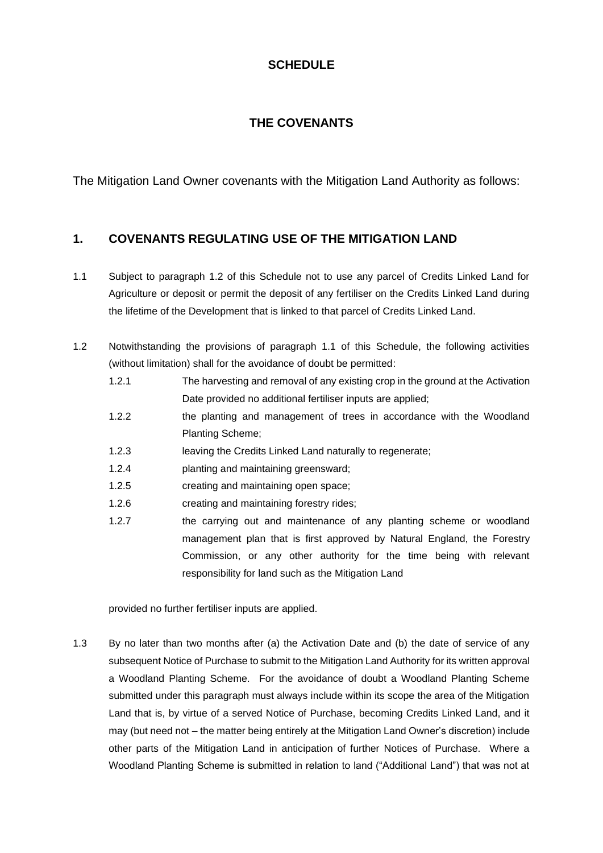# **SCHEDULE**

# **THE COVENANTS**

The Mitigation Land Owner covenants with the Mitigation Land Authority as follows:

# **1. COVENANTS REGULATING USE OF THE MITIGATION LAND**

- 1.1 Subject to paragraph 1.2 of this Schedule not to use any parcel of Credits Linked Land for Agriculture or deposit or permit the deposit of any fertiliser on the Credits Linked Land during the lifetime of the Development that is linked to that parcel of Credits Linked Land.
- 1.2 Notwithstanding the provisions of paragraph 1.1 of this Schedule, the following activities (without limitation) shall for the avoidance of doubt be permitted:
	- 1.2.1 The harvesting and removal of any existing crop in the ground at the Activation Date provided no additional fertiliser inputs are applied;
	- 1.2.2 the planting and management of trees in accordance with the Woodland Planting Scheme;
	- 1.2.3 leaving the Credits Linked Land naturally to regenerate;
	- 1.2.4 planting and maintaining greensward;
	- 1.2.5 creating and maintaining open space;
	- 1.2.6 creating and maintaining forestry rides;
	- 1.2.7 the carrying out and maintenance of any planting scheme or woodland management plan that is first approved by Natural England, the Forestry Commission, or any other authority for the time being with relevant responsibility for land such as the Mitigation Land

provided no further fertiliser inputs are applied.

1.3 By no later than two months after (a) the Activation Date and (b) the date of service of any subsequent Notice of Purchase to submit to the Mitigation Land Authority for its written approval a Woodland Planting Scheme. For the avoidance of doubt a Woodland Planting Scheme submitted under this paragraph must always include within its scope the area of the Mitigation Land that is, by virtue of a served Notice of Purchase, becoming Credits Linked Land, and it may (but need not – the matter being entirely at the Mitigation Land Owner's discretion) include other parts of the Mitigation Land in anticipation of further Notices of Purchase. Where a Woodland Planting Scheme is submitted in relation to land ("Additional Land") that was not at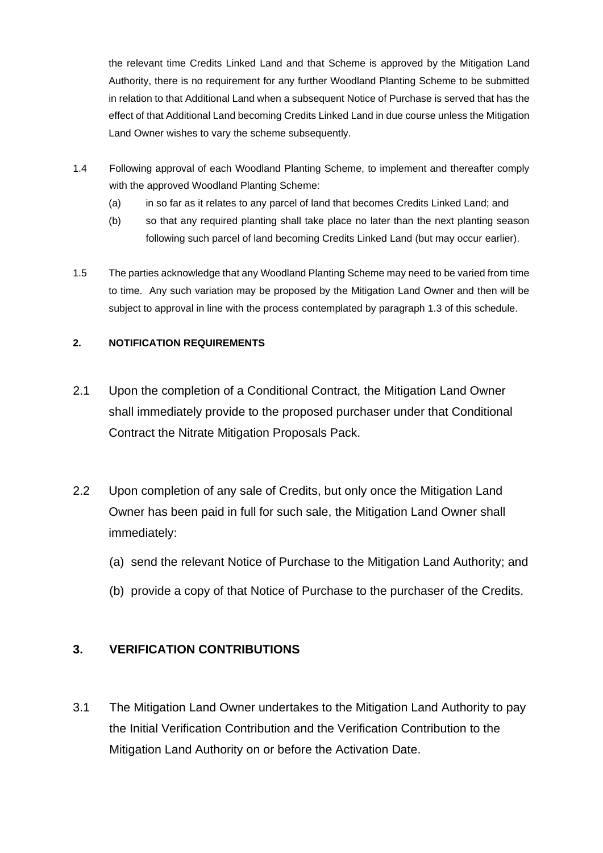the relevant time Credits Linked Land and that Scheme is approved by the Mitigation Land Authority, there is no requirement for any further Woodland Planting Scheme to be submitted in relation to that Additional Land when a subsequent Notice of Purchase is served that has the effect of that Additional Land becoming Credits Linked Land in due course unless the Mitigation Land Owner wishes to vary the scheme subsequently.

- 1.4 Following approval of each Woodland Planting Scheme, to implement and thereafter comply with the approved Woodland Planting Scheme:
	- (a) in so far as it relates to any parcel of land that becomes Credits Linked Land; and
	- (b) so that any required planting shall take place no later than the next planting season following such parcel of land becoming Credits Linked Land (but may occur earlier).
- 1.5 The parties acknowledge that any Woodland Planting Scheme may need to be varied from time to time. Any such variation may be proposed by the Mitigation Land Owner and then will be subject to approval in line with the process contemplated by paragraph 1.3 of this schedule.

### **2. NOTIFICATION REQUIREMENTS**

- 2.1 Upon the completion of a Conditional Contract, the Mitigation Land Owner shall immediately provide to the proposed purchaser under that Conditional Contract the Nitrate Mitigation Proposals Pack.
- 2.2 Upon completion of any sale of Credits, but only once the Mitigation Land Owner has been paid in full for such sale, the Mitigation Land Owner shall immediately:
	- (a) send the relevant Notice of Purchase to the Mitigation Land Authority; and
	- (b) provide a copy of that Notice of Purchase to the purchaser of the Credits.

# **3. VERIFICATION CONTRIBUTIONS**

3.1 The Mitigation Land Owner undertakes to the Mitigation Land Authority to pay the Initial Verification Contribution and the Verification Contribution to the Mitigation Land Authority on or before the Activation Date.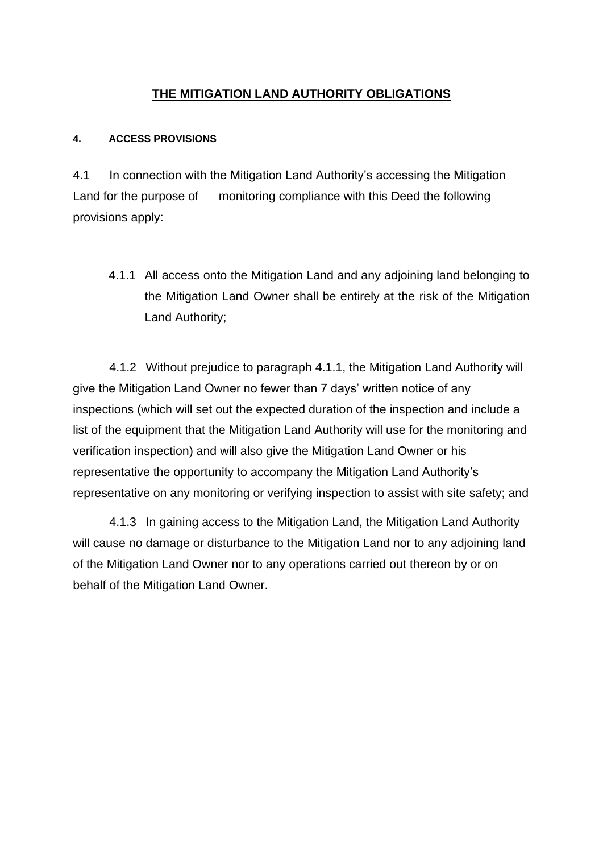# **THE MITIGATION LAND AUTHORITY OBLIGATIONS**

### **4. ACCESS PROVISIONS**

4.1 In connection with the Mitigation Land Authority's accessing the Mitigation Land for the purpose of monitoring compliance with this Deed the following provisions apply:

4.1.1 All access onto the Mitigation Land and any adjoining land belonging to the Mitigation Land Owner shall be entirely at the risk of the Mitigation Land Authority;

4.1.2 Without prejudice to paragraph 4.1.1, the Mitigation Land Authority will give the Mitigation Land Owner no fewer than 7 days' written notice of any inspections (which will set out the expected duration of the inspection and include a list of the equipment that the Mitigation Land Authority will use for the monitoring and verification inspection) and will also give the Mitigation Land Owner or his representative the opportunity to accompany the Mitigation Land Authority's representative on any monitoring or verifying inspection to assist with site safety; and

4.1.3 In gaining access to the Mitigation Land, the Mitigation Land Authority will cause no damage or disturbance to the Mitigation Land nor to any adjoining land of the Mitigation Land Owner nor to any operations carried out thereon by or on behalf of the Mitigation Land Owner.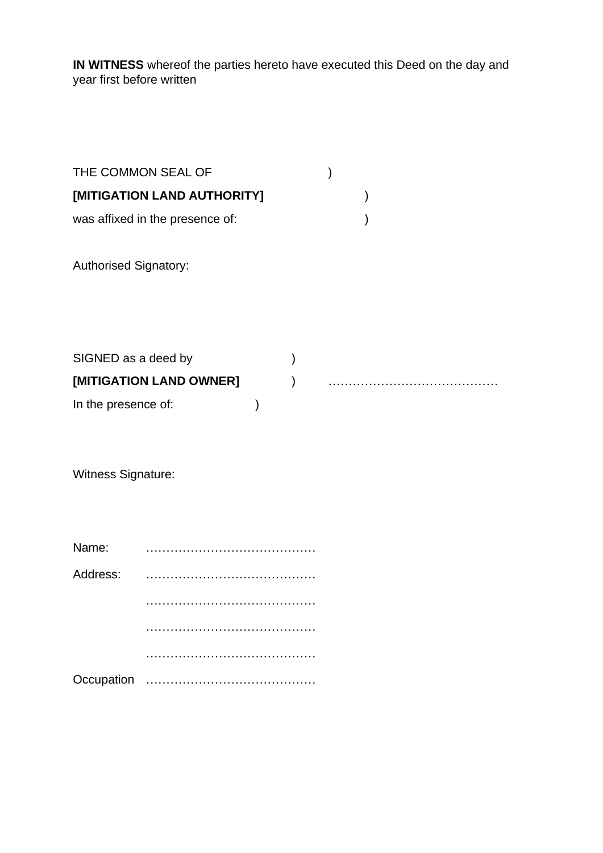**IN WITNESS** whereof the parties hereto have executed this Deed on the day and year first before written

| THE COMMON SEAL OF                             |  |  |
|------------------------------------------------|--|--|
| [MITIGATION LAND AUTHORITY]                    |  |  |
| was affixed in the presence of:                |  |  |
| <b>Authorised Signatory:</b>                   |  |  |
| SIGNED as a deed by<br>[MITIGATION LAND OWNER] |  |  |
| In the presence of:                            |  |  |

Witness Signature:

| Name:    |  |
|----------|--|
| Address: |  |
|          |  |
|          |  |
|          |  |
|          |  |